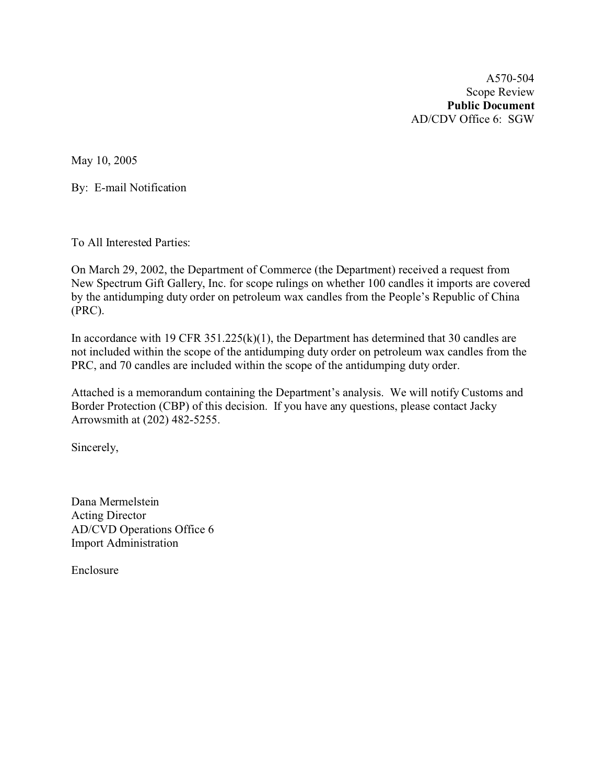A570-504 Scope Review **Public Document** AD/CDV Office 6: SGW

May 10, 2005

By: E-mail Notification

To All Interested Parties:

On March 29, 2002, the Department of Commerce (the Department) received a request from New Spectrum Gift Gallery, Inc. for scope rulings on whether 100 candles it imports are covered by the antidumping duty order on petroleum wax candles from the People's Republic of China (PRC).

In accordance with 19 CFR 351.225(k)(1), the Department has determined that 30 candles are not included within the scope of the antidumping duty order on petroleum wax candles from the PRC, and 70 candles are included within the scope of the antidumping duty order.

Attached is a memorandum containing the Department's analysis. We will notify Customs and Border Protection (CBP) of this decision. If you have any questions, please contact Jacky Arrowsmith at (202) 482-5255.

Sincerely,

Dana Mermelstein Acting Director AD/CVD Operations Office 6 Import Administration

Enclosure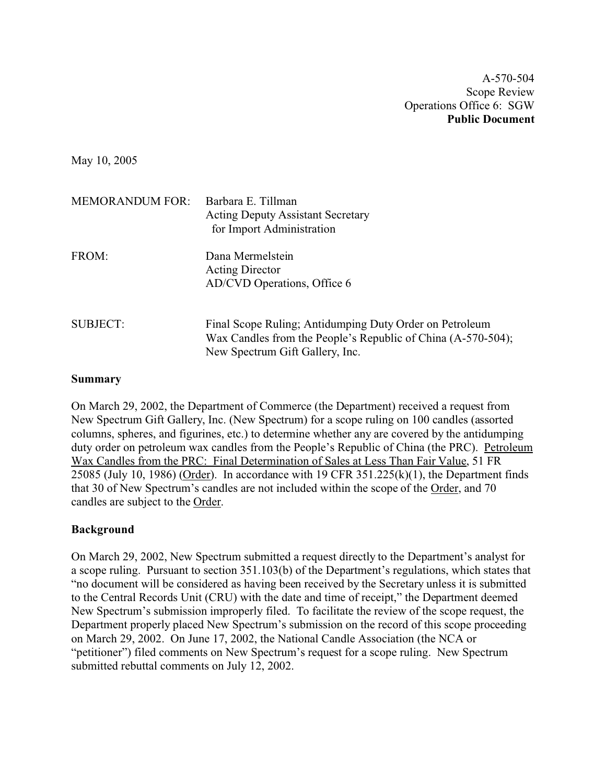A-570-504 Scope Review Operations Office 6: SGW **Public Document**

May 10, 2005

| <b>MEMORANDUM FOR:</b> | Barbara E. Tillman<br><b>Acting Deputy Assistant Secretary</b><br>for Import Administration                                                                |
|------------------------|------------------------------------------------------------------------------------------------------------------------------------------------------------|
| FROM:                  | Dana Mermelstein<br><b>Acting Director</b><br>AD/CVD Operations, Office 6                                                                                  |
| <b>SUBJECT:</b>        | Final Scope Ruling; Antidumping Duty Order on Petroleum<br>Wax Candles from the People's Republic of China (A-570-504);<br>New Spectrum Gift Gallery, Inc. |

#### **Summary**

On March 29, 2002, the Department of Commerce (the Department) received a request from New Spectrum Gift Gallery, Inc. (New Spectrum) for a scope ruling on 100 candles (assorted columns, spheres, and figurines, etc.) to determine whether any are covered by the antidumping duty order on petroleum wax candles from the People's Republic of China (the PRC). Petroleum Wax Candles from the PRC: Final Determination of Sales at Less Than Fair Value, 51 FR 25085 (July 10, 1986) (Order). In accordance with 19 CFR  $351.225(k)(1)$ , the Department finds that 30 of New Spectrum's candles are not included within the scope of the Order, and 70 candles are subject to the Order.

#### **Background**

On March 29, 2002, New Spectrum submitted a request directly to the Department's analyst for a scope ruling. Pursuant to section 351.103(b) of the Department's regulations, which states that "no document will be considered as having been received by the Secretary unless it is submitted to the Central Records Unit (CRU) with the date and time of receipt," the Department deemed New Spectrum's submission improperly filed. To facilitate the review of the scope request, the Department properly placed New Spectrum's submission on the record of this scope proceeding on March 29, 2002. On June 17, 2002, the National Candle Association (the NCA or "petitioner") filed comments on New Spectrum's request for a scope ruling. New Spectrum submitted rebuttal comments on July 12, 2002.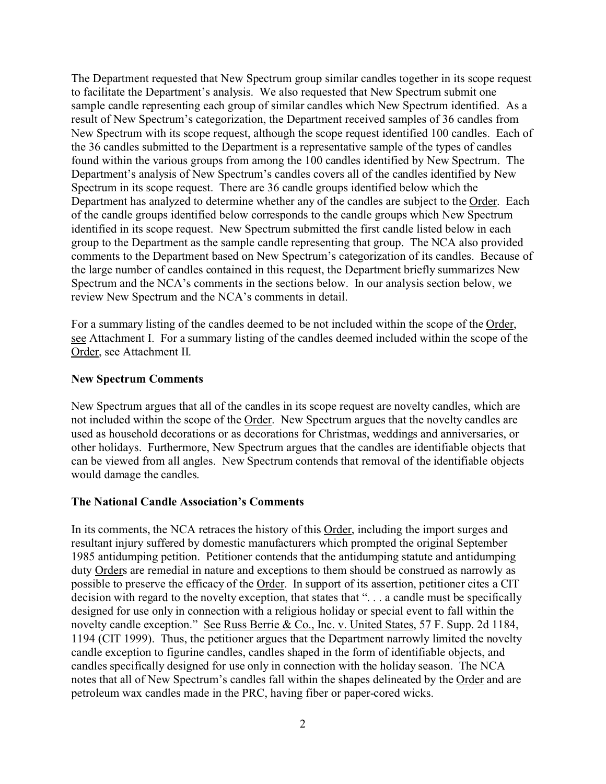The Department requested that New Spectrum group similar candles together in its scope request to facilitate the Department's analysis. We also requested that New Spectrum submit one sample candle representing each group of similar candles which New Spectrum identified. As a result of New Spectrum's categorization, the Department received samples of 36 candles from New Spectrum with its scope request, although the scope request identified 100 candles. Each of the 36 candles submitted to the Department is a representative sample of the types of candles found within the various groups from among the 100 candles identified by New Spectrum. The Department's analysis of New Spectrum's candles covers all of the candles identified by New Spectrum in its scope request. There are 36 candle groups identified below which the Department has analyzed to determine whether any of the candles are subject to the Order. Each of the candle groups identified below corresponds to the candle groups which New Spectrum identified in its scope request. New Spectrum submitted the first candle listed below in each group to the Department as the sample candle representing that group. The NCA also provided comments to the Department based on New Spectrum's categorization of its candles. Because of the large number of candles contained in this request, the Department briefly summarizes New Spectrum and the NCA's comments in the sections below. In our analysis section below, we review New Spectrum and the NCA's comments in detail.

For a summary listing of the candles deemed to be not included within the scope of the Order, see Attachment I. For a summary listing of the candles deemed included within the scope of the Order, see Attachment II.

#### **New Spectrum Comments**

New Spectrum argues that all of the candles in its scope request are novelty candles, which are not included within the scope of the Order. New Spectrum argues that the novelty candles are used as household decorations or as decorations for Christmas, weddings and anniversaries, or other holidays. Furthermore, New Spectrum argues that the candles are identifiable objects that can be viewed from all angles. New Spectrum contends that removal of the identifiable objects would damage the candles.

#### **The National Candle Association's Comments**

In its comments, the NCA retraces the history of this Order, including the import surges and resultant injury suffered by domestic manufacturers which prompted the original September 1985 antidumping petition. Petitioner contends that the antidumping statute and antidumping duty Orders are remedial in nature and exceptions to them should be construed as narrowly as possible to preserve the efficacy of the Order. In support of its assertion, petitioner cites a CIT decision with regard to the novelty exception, that states that ". . . a candle must be specifically designed for use only in connection with a religious holiday or special event to fall within the novelty candle exception." See Russ Berrie & Co., Inc. v. United States, 57 F. Supp. 2d 1184, 1194 (CIT 1999). Thus, the petitioner argues that the Department narrowly limited the novelty candle exception to figurine candles, candles shaped in the form of identifiable objects, and candles specifically designed for use only in connection with the holiday season. The NCA notes that all of New Spectrum's candles fall within the shapes delineated by the Order and are petroleum wax candles made in the PRC, having fiber or paper-cored wicks.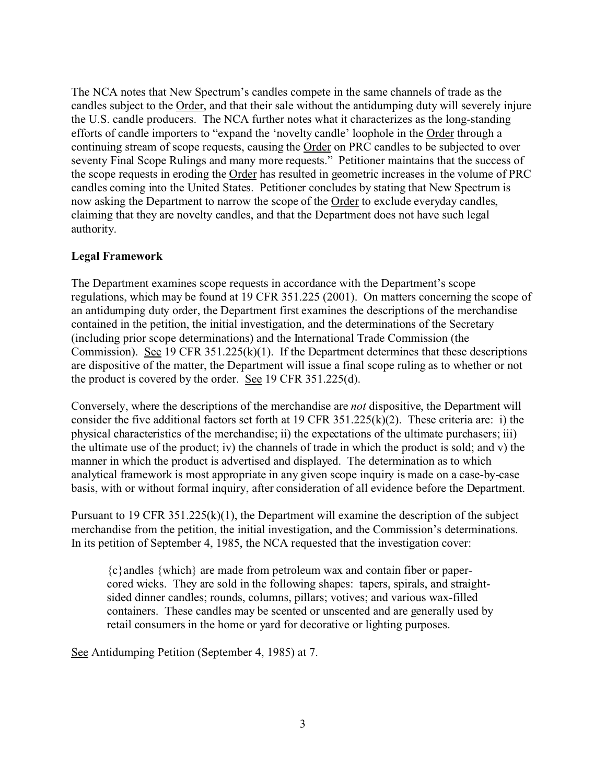The NCA notes that New Spectrum's candles compete in the same channels of trade as the candles subject to the Order, and that their sale without the antidumping duty will severely injure the U.S. candle producers. The NCA further notes what it characterizes as the long-standing efforts of candle importers to "expand the 'novelty candle' loophole in the Order through a continuing stream of scope requests, causing the Order on PRC candles to be subjected to over seventy Final Scope Rulings and many more requests." Petitioner maintains that the success of the scope requests in eroding the Order has resulted in geometric increases in the volume of PRC candles coming into the United States. Petitioner concludes by stating that New Spectrum is now asking the Department to narrow the scope of the Order to exclude everyday candles, claiming that they are novelty candles, and that the Department does not have such legal authority.

## **Legal Framework**

The Department examines scope requests in accordance with the Department's scope regulations, which may be found at 19 CFR 351.225 (2001). On matters concerning the scope of an antidumping duty order, the Department first examines the descriptions of the merchandise contained in the petition, the initial investigation, and the determinations of the Secretary (including prior scope determinations) and the International Trade Commission (the Commission). See 19 CFR 351.225(k)(1). If the Department determines that these descriptions are dispositive of the matter, the Department will issue a final scope ruling as to whether or not the product is covered by the order. See 19 CFR 351.225(d).

Conversely, where the descriptions of the merchandise are *not* dispositive, the Department will consider the five additional factors set forth at 19 CFR 351.225(k)(2). These criteria are: i) the physical characteristics of the merchandise; ii) the expectations of the ultimate purchasers; iii) the ultimate use of the product; iv) the channels of trade in which the product is sold; and v) the manner in which the product is advertised and displayed. The determination as to which analytical framework is most appropriate in any given scope inquiry is made on a case-by-case basis, with or without formal inquiry, after consideration of all evidence before the Department.

Pursuant to 19 CFR 351.225(k)(1), the Department will examine the description of the subject merchandise from the petition, the initial investigation, and the Commission's determinations. In its petition of September 4, 1985, the NCA requested that the investigation cover:

{c}andles {which} are made from petroleum wax and contain fiber or papercored wicks. They are sold in the following shapes: tapers, spirals, and straightsided dinner candles; rounds, columns, pillars; votives; and various wax-filled containers. These candles may be scented or unscented and are generally used by retail consumers in the home or yard for decorative or lighting purposes.

See Antidumping Petition (September 4, 1985) at 7.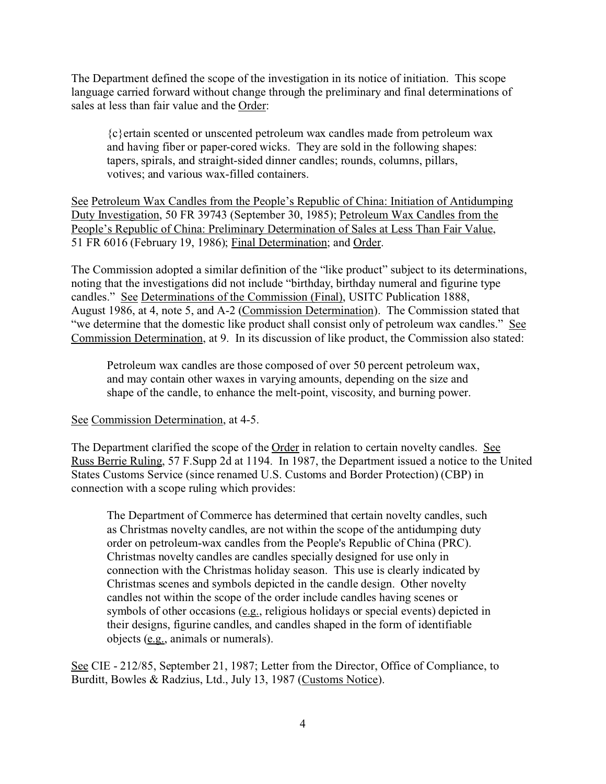The Department defined the scope of the investigation in its notice of initiation. This scope language carried forward without change through the preliminary and final determinations of sales at less than fair value and the Order:

{c}ertain scented or unscented petroleum wax candles made from petroleum wax and having fiber or paper-cored wicks. They are sold in the following shapes: tapers, spirals, and straight-sided dinner candles; rounds, columns, pillars, votives; and various wax-filled containers.

See Petroleum Wax Candles from the People's Republic of China: Initiation of Antidumping Duty Investigation, 50 FR 39743 (September 30, 1985); Petroleum Wax Candles from the People's Republic of China: Preliminary Determination of Sales at Less Than Fair Value, 51 FR 6016 (February 19, 1986); Final Determination; and Order.

The Commission adopted a similar definition of the "like product" subject to its determinations, noting that the investigations did not include "birthday, birthday numeral and figurine type candles." See Determinations of the Commission (Final), USITC Publication 1888, August 1986, at 4, note 5, and A-2 (Commission Determination). The Commission stated that "we determine that the domestic like product shall consist only of petroleum wax candles." See Commission Determination, at 9. In its discussion of like product, the Commission also stated:

Petroleum wax candles are those composed of over 50 percent petroleum wax, and may contain other waxes in varying amounts, depending on the size and shape of the candle, to enhance the melt-point, viscosity, and burning power.

#### See Commission Determination, at 4-5.

The Department clarified the scope of the Order in relation to certain novelty candles. See Russ Berrie Ruling, 57 F.Supp 2d at 1194. In 1987, the Department issued a notice to the United States Customs Service (since renamed U.S. Customs and Border Protection) (CBP) in connection with a scope ruling which provides:

The Department of Commerce has determined that certain novelty candles, such as Christmas novelty candles, are not within the scope of the antidumping duty order on petroleum-wax candles from the People's Republic of China (PRC). Christmas novelty candles are candles specially designed for use only in connection with the Christmas holiday season. This use is clearly indicated by Christmas scenes and symbols depicted in the candle design. Other novelty candles not within the scope of the order include candles having scenes or symbols of other occasions (e.g., religious holidays or special events) depicted in their designs, figurine candles, and candles shaped in the form of identifiable objects (e.g., animals or numerals).

See CIE - 212/85, September 21, 1987; Letter from the Director, Office of Compliance, to Burditt, Bowles & Radzius, Ltd., July 13, 1987 (Customs Notice).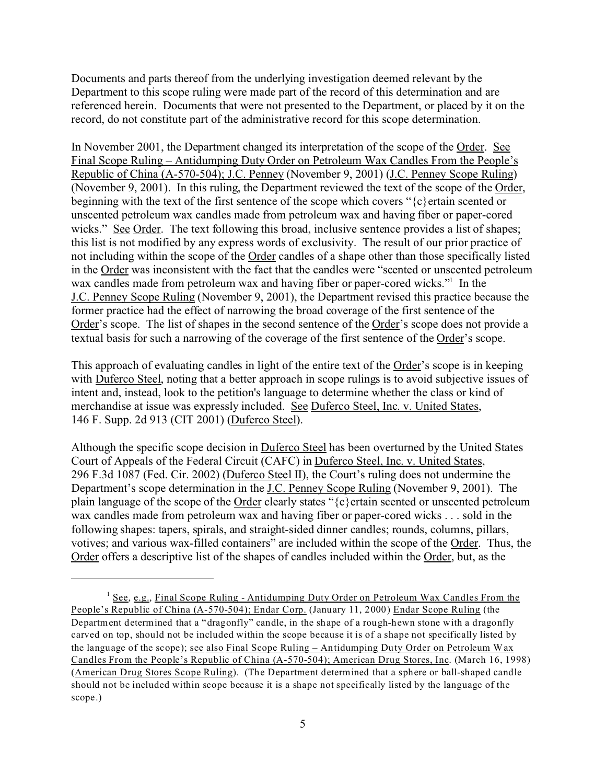Documents and parts thereof from the underlying investigation deemed relevant by the Department to this scope ruling were made part of the record of this determination and are referenced herein. Documents that were not presented to the Department, or placed by it on the record, do not constitute part of the administrative record for this scope determination.

In November 2001, the Department changed its interpretation of the scope of the Order. See Final Scope Ruling – Antidumping Duty Order on Petroleum Wax Candles From the People's Republic of China (A-570-504); J.C. Penney (November 9, 2001) (J.C. Penney Scope Ruling) (November 9, 2001). In this ruling, the Department reviewed the text of the scope of the Order, beginning with the text of the first sentence of the scope which covers "{c}ertain scented or unscented petroleum wax candles made from petroleum wax and having fiber or paper-cored wicks." See Order. The text following this broad, inclusive sentence provides a list of shapes; this list is not modified by any express words of exclusivity. The result of our prior practice of not including within the scope of the Order candles of a shape other than those specifically listed in the Order was inconsistent with the fact that the candles were "scented or unscented petroleum wax candles made from petroleum wax and having fiber or paper-cored wicks."<sup>1</sup> In the J.C. Penney Scope Ruling (November 9, 2001), the Department revised this practice because the former practice had the effect of narrowing the broad coverage of the first sentence of the Order's scope. The list of shapes in the second sentence of the Order's scope does not provide a textual basis for such a narrowing of the coverage of the first sentence of the Order's scope.

This approach of evaluating candles in light of the entire text of the Order's scope is in keeping with Duferco Steel, noting that a better approach in scope rulings is to avoid subjective issues of intent and, instead, look to the petition's language to determine whether the class or kind of merchandise at issue was expressly included. See Duferco Steel, Inc. v. United States, 146 F. Supp. 2d 913 (CIT 2001) (Duferco Steel).

Although the specific scope decision in Duferco Steel has been overturned by the United States Court of Appeals of the Federal Circuit (CAFC) in Duferco Steel, Inc. v. United States, 296 F.3d 1087 (Fed. Cir. 2002) (Duferco Steel II), the Court's ruling does not undermine the Department's scope determination in the J.C. Penney Scope Ruling (November 9, 2001). The plain language of the scope of the Order clearly states "{c}ertain scented or unscented petroleum wax candles made from petroleum wax and having fiber or paper-cored wicks . . . sold in the following shapes: tapers, spirals, and straight-sided dinner candles; rounds, columns, pillars, votives; and various wax-filled containers" are included within the scope of the Order. Thus, the Order offers a descriptive list of the shapes of candles included within the Order, but, as the

<sup>&</sup>lt;sup>1</sup> See, e.g., Final Scope Ruling - Antidumping Duty Order on Petroleum Wax Candles From the People's Republic of China (A-570-504); Endar Corp. (January 11, 2000) Endar Scope Ruling (the Department determined that a "dragonfly" candle, in the shape of a rough-hewn stone with a dragonfly carved on top, should not be included within the scope because it is of a shape not specifically listed by the language of the scope); see also Final Scope Ruling – Antidumping Duty Order on Petroleum Wax Candles From the People's Republic of China (A-570-504); American Drug Stores, Inc. (March 16, 1998) (American Drug Stores Scope Ruling). (The Department determined that a sphere or ball-shaped candle should not be included within scope because it is a shape not specifically listed by the language of the scope.)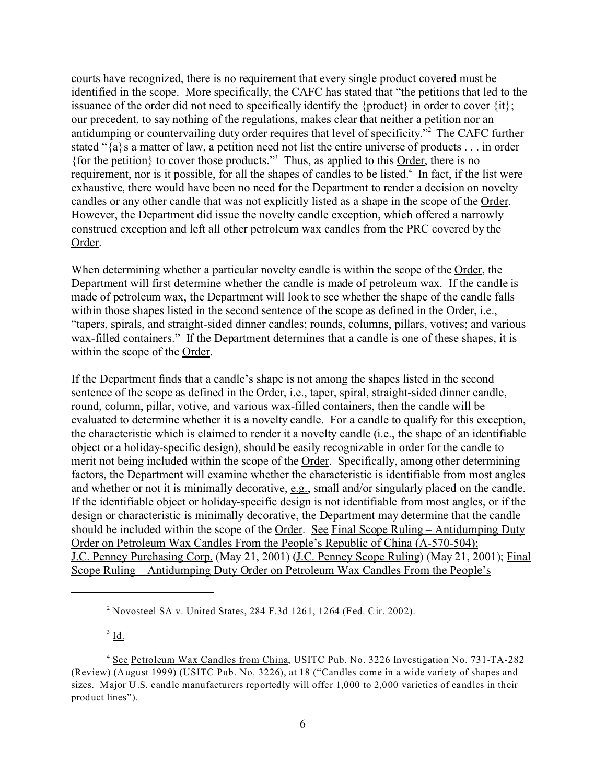courts have recognized, there is no requirement that every single product covered must be identified in the scope. More specifically, the CAFC has stated that "the petitions that led to the issuance of the order did not need to specifically identify the {product} in order to cover  $\{it\};$ our precedent, to say nothing of the regulations, makes clear that neither a petition nor an antidumping or countervailing duty order requires that level of specificity."<sup>2</sup> The CAFC further stated "{a}s a matter of law, a petition need not list the entire universe of products . . . in order {for the petition} to cover those products."<sup>3</sup> Thus, as applied to this Order, there is no requirement, nor is it possible, for all the shapes of candles to be listed.<sup>4</sup> In fact, if the list were exhaustive, there would have been no need for the Department to render a decision on novelty candles or any other candle that was not explicitly listed as a shape in the scope of the Order. However, the Department did issue the novelty candle exception, which offered a narrowly construed exception and left all other petroleum wax candles from the PRC covered by the Order.

When determining whether a particular novelty candle is within the scope of the Order, the Department will first determine whether the candle is made of petroleum wax. If the candle is made of petroleum wax, the Department will look to see whether the shape of the candle falls within those shapes listed in the second sentence of the scope as defined in the Order, i.e., "tapers, spirals, and straight-sided dinner candles; rounds, columns, pillars, votives; and various wax-filled containers." If the Department determines that a candle is one of these shapes, it is within the scope of the Order.

If the Department finds that a candle's shape is not among the shapes listed in the second sentence of the scope as defined in the Order, i.e., taper, spiral, straight-sided dinner candle, round, column, pillar, votive, and various wax-filled containers, then the candle will be evaluated to determine whether it is a novelty candle. For a candle to qualify for this exception, the characteristic which is claimed to render it a novelty candle (i.e., the shape of an identifiable object or a holiday-specific design), should be easily recognizable in order for the candle to merit not being included within the scope of the Order. Specifically, among other determining factors, the Department will examine whether the characteristic is identifiable from most angles and whether or not it is minimally decorative, e.g., small and/or singularly placed on the candle. If the identifiable object or holiday-specific design is not identifiable from most angles, or if the design or characteristic is minimally decorative, the Department may determine that the candle should be included within the scope of the Order. See Final Scope Ruling – Antidumping Duty Order on Petroleum Wax Candles From the People's Republic of China (A-570-504); J.C. Penney Purchasing Corp. (May 21, 2001) (J.C. Penney Scope Ruling) (May 21, 2001); Final Scope Ruling – Antidumping Duty Order on Petroleum Wax Candles From the People's

 $^3$  <u>Id.</u>

<sup>2</sup> Novosteel SA v. United States, 284 F.3d 1261, 1264 (Fed. Cir. 2002).

<sup>&</sup>lt;sup>4</sup> See Petroleum Wax Candles from China, USITC Pub. No. 3226 Investigation No. 731-TA-282 (Review) (August 1999) (USITC Pub. No. 3226), at 18 ("Candles come in a wide variety of shapes and sizes. Major U.S. candle manufacturers reportedly will offer 1,000 to 2,000 varieties of candles in their product lines").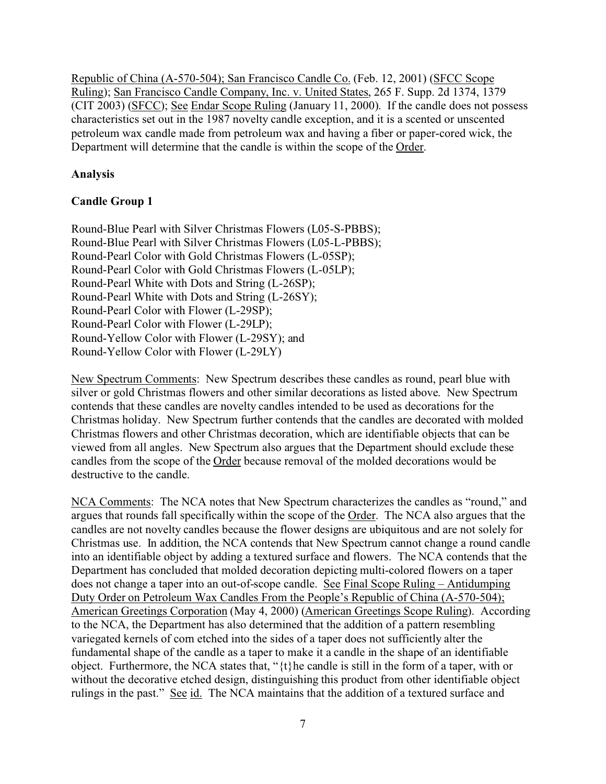Republic of China (A-570-504); San Francisco Candle Co. (Feb. 12, 2001) (SFCC Scope Ruling); San Francisco Candle Company, Inc. v. United States, 265 F. Supp. 2d 1374, 1379 (CIT 2003) (SFCC); See Endar Scope Ruling (January 11, 2000). If the candle does not possess characteristics set out in the 1987 novelty candle exception, and it is a scented or unscented petroleum wax candle made from petroleum wax and having a fiber or paper-cored wick, the Department will determine that the candle is within the scope of the Order.

## **Analysis**

## **Candle Group 1**

Round-Blue Pearl with Silver Christmas Flowers (L05-S-PBBS); Round-Blue Pearl with Silver Christmas Flowers (L05-L-PBBS); Round-Pearl Color with Gold Christmas Flowers (L-05SP); Round-Pearl Color with Gold Christmas Flowers (L-05LP); Round-Pearl White with Dots and String (L-26SP); Round-Pearl White with Dots and String (L-26SY); Round-Pearl Color with Flower (L-29SP); Round-Pearl Color with Flower (L-29LP); Round-Yellow Color with Flower (L-29SY); and Round-Yellow Color with Flower (L-29LY)

New Spectrum Comments: New Spectrum describes these candles as round, pearl blue with silver or gold Christmas flowers and other similar decorations as listed above. New Spectrum contends that these candles are novelty candles intended to be used as decorations for the Christmas holiday. New Spectrum further contends that the candles are decorated with molded Christmas flowers and other Christmas decoration, which are identifiable objects that can be viewed from all angles. New Spectrum also argues that the Department should exclude these candles from the scope of the Order because removal of the molded decorations would be destructive to the candle.

NCA Comments: The NCA notes that New Spectrum characterizes the candles as "round," and argues that rounds fall specifically within the scope of the Order. The NCA also argues that the candles are not novelty candles because the flower designs are ubiquitous and are not solely for Christmas use. In addition, the NCA contends that New Spectrum cannot change a round candle into an identifiable object by adding a textured surface and flowers. The NCA contends that the Department has concluded that molded decoration depicting multi-colored flowers on a taper does not change a taper into an out-of-scope candle. See Final Scope Ruling – Antidumping Duty Order on Petroleum Wax Candles From the People's Republic of China (A-570-504); American Greetings Corporation (May 4, 2000) (American Greetings Scope Ruling). According to the NCA, the Department has also determined that the addition of a pattern resembling variegated kernels of corn etched into the sides of a taper does not sufficiently alter the fundamental shape of the candle as a taper to make it a candle in the shape of an identifiable object. Furthermore, the NCA states that, "{t}he candle is still in the form of a taper, with or without the decorative etched design, distinguishing this product from other identifiable object rulings in the past." See id. The NCA maintains that the addition of a textured surface and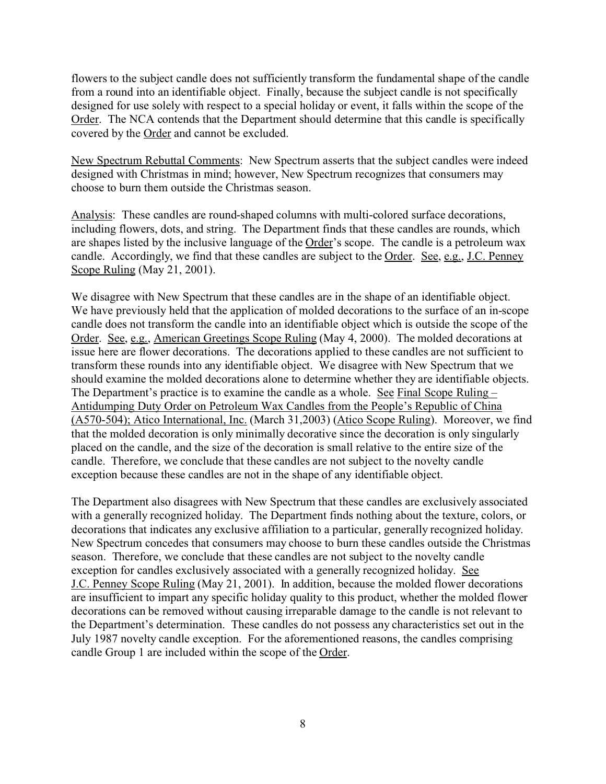flowers to the subject candle does not sufficiently transform the fundamental shape of the candle from a round into an identifiable object. Finally, because the subject candle is not specifically designed for use solely with respect to a special holiday or event, it falls within the scope of the Order. The NCA contends that the Department should determine that this candle is specifically covered by the Order and cannot be excluded.

New Spectrum Rebuttal Comments: New Spectrum asserts that the subject candles were indeed designed with Christmas in mind; however, New Spectrum recognizes that consumers may choose to burn them outside the Christmas season.

Analysis: These candles are round-shaped columns with multi-colored surface decorations, including flowers, dots, and string. The Department finds that these candles are rounds, which are shapes listed by the inclusive language of the Order's scope. The candle is a petroleum wax candle. Accordingly, we find that these candles are subject to the Order. See, e.g., J.C. Penney Scope Ruling (May 21, 2001).

We disagree with New Spectrum that these candles are in the shape of an identifiable object. We have previously held that the application of molded decorations to the surface of an in-scope candle does not transform the candle into an identifiable object which is outside the scope of the Order. See, e.g., American Greetings Scope Ruling (May 4, 2000). The molded decorations at issue here are flower decorations. The decorations applied to these candles are not sufficient to transform these rounds into any identifiable object. We disagree with New Spectrum that we should examine the molded decorations alone to determine whether they are identifiable objects. The Department's practice is to examine the candle as a whole. See Final Scope Ruling – Antidumping Duty Order on Petroleum Wax Candles from the People's Republic of China (A570-504); Atico International, Inc. (March 31,2003) (Atico Scope Ruling). Moreover, we find that the molded decoration is only minimally decorative since the decoration is only singularly placed on the candle, and the size of the decoration is small relative to the entire size of the candle. Therefore, we conclude that these candles are not subject to the novelty candle exception because these candles are not in the shape of any identifiable object.

The Department also disagrees with New Spectrum that these candles are exclusively associated with a generally recognized holiday. The Department finds nothing about the texture, colors, or decorations that indicates any exclusive affiliation to a particular, generally recognized holiday. New Spectrum concedes that consumers may choose to burn these candles outside the Christmas season. Therefore, we conclude that these candles are not subject to the novelty candle exception for candles exclusively associated with a generally recognized holiday. See J.C. Penney Scope Ruling (May 21, 2001). In addition, because the molded flower decorations are insufficient to impart any specific holiday quality to this product, whether the molded flower decorations can be removed without causing irreparable damage to the candle is not relevant to the Department's determination. These candles do not possess any characteristics set out in the July 1987 novelty candle exception. For the aforementioned reasons, the candles comprising candle Group 1 are included within the scope of the Order.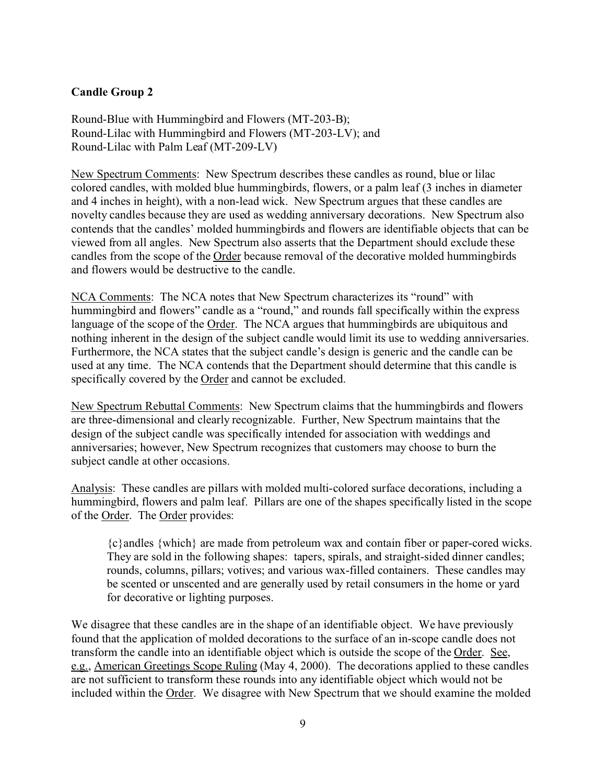## **Candle Group 2**

Round-Blue with Hummingbird and Flowers (MT-203-B); Round-Lilac with Hummingbird and Flowers (MT-203-LV); and Round-Lilac with Palm Leaf (MT-209-LV)

New Spectrum Comments: New Spectrum describes these candles as round, blue or lilac colored candles, with molded blue hummingbirds, flowers, or a palm leaf (3 inches in diameter and 4 inches in height), with a non-lead wick. New Spectrum argues that these candles are novelty candles because they are used as wedding anniversary decorations. New Spectrum also contends that the candles' molded hummingbirds and flowers are identifiable objects that can be viewed from all angles. New Spectrum also asserts that the Department should exclude these candles from the scope of the Order because removal of the decorative molded hummingbirds and flowers would be destructive to the candle.

NCA Comments: The NCA notes that New Spectrum characterizes its "round" with hummingbird and flowers" candle as a "round," and rounds fall specifically within the express language of the scope of the Order. The NCA argues that hummingbirds are ubiquitous and nothing inherent in the design of the subject candle would limit its use to wedding anniversaries. Furthermore, the NCA states that the subject candle's design is generic and the candle can be used at any time. The NCA contends that the Department should determine that this candle is specifically covered by the Order and cannot be excluded.

New Spectrum Rebuttal Comments: New Spectrum claims that the hummingbirds and flowers are three-dimensional and clearly recognizable. Further, New Spectrum maintains that the design of the subject candle was specifically intended for association with weddings and anniversaries; however, New Spectrum recognizes that customers may choose to burn the subject candle at other occasions.

Analysis: These candles are pillars with molded multi-colored surface decorations, including a hummingbird, flowers and palm leaf. Pillars are one of the shapes specifically listed in the scope of the Order. The Order provides:

{c}andles {which} are made from petroleum wax and contain fiber or paper-cored wicks. They are sold in the following shapes: tapers, spirals, and straight-sided dinner candles; rounds, columns, pillars; votives; and various wax-filled containers. These candles may be scented or unscented and are generally used by retail consumers in the home or yard for decorative or lighting purposes.

We disagree that these candles are in the shape of an identifiable object. We have previously found that the application of molded decorations to the surface of an in-scope candle does not transform the candle into an identifiable object which is outside the scope of the Order. See, e.g., American Greetings Scope Ruling (May 4, 2000). The decorations applied to these candles are not sufficient to transform these rounds into any identifiable object which would not be included within the Order. We disagree with New Spectrum that we should examine the molded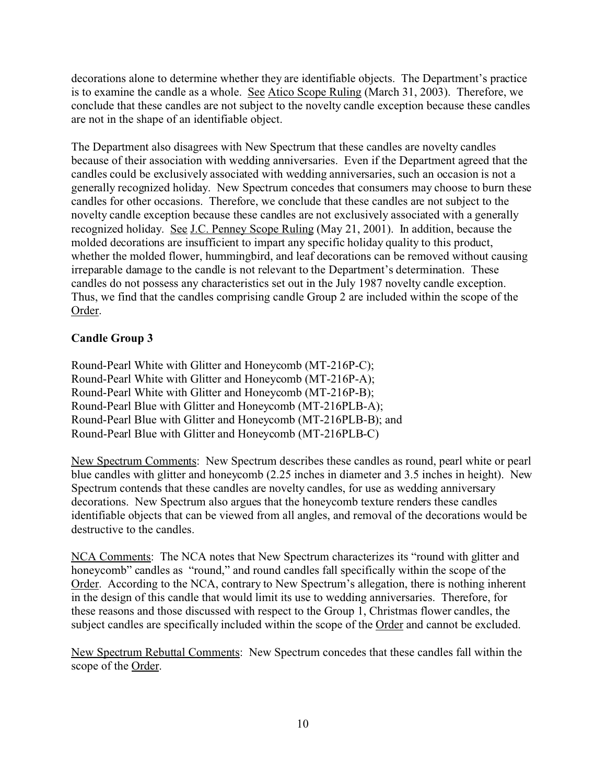decorations alone to determine whether they are identifiable objects. The Department's practice is to examine the candle as a whole. See Atico Scope Ruling (March 31, 2003). Therefore, we conclude that these candles are not subject to the novelty candle exception because these candles are not in the shape of an identifiable object.

The Department also disagrees with New Spectrum that these candles are novelty candles because of their association with wedding anniversaries. Even if the Department agreed that the candles could be exclusively associated with wedding anniversaries, such an occasion is not a generally recognized holiday. New Spectrum concedes that consumers may choose to burn these candles for other occasions. Therefore, we conclude that these candles are not subject to the novelty candle exception because these candles are not exclusively associated with a generally recognized holiday. See J.C. Penney Scope Ruling (May 21, 2001). In addition, because the molded decorations are insufficient to impart any specific holiday quality to this product, whether the molded flower, hummingbird, and leaf decorations can be removed without causing irreparable damage to the candle is not relevant to the Department's determination. These candles do not possess any characteristics set out in the July 1987 novelty candle exception. Thus, we find that the candles comprising candle Group 2 are included within the scope of the Order.

## **Candle Group 3**

Round-Pearl White with Glitter and Honeycomb (MT-216P-C); Round-Pearl White with Glitter and Honeycomb (MT-216P-A); Round-Pearl White with Glitter and Honeycomb (MT-216P-B); Round-Pearl Blue with Glitter and Honeycomb (MT-216PLB-A); Round-Pearl Blue with Glitter and Honeycomb (MT-216PLB-B); and Round-Pearl Blue with Glitter and Honeycomb (MT-216PLB-C)

New Spectrum Comments: New Spectrum describes these candles as round, pearl white or pearl blue candles with glitter and honeycomb (2.25 inches in diameter and 3.5 inches in height). New Spectrum contends that these candles are novelty candles, for use as wedding anniversary decorations. New Spectrum also argues that the honeycomb texture renders these candles identifiable objects that can be viewed from all angles, and removal of the decorations would be destructive to the candles.

NCA Comments: The NCA notes that New Spectrum characterizes its "round with glitter and honeycomb" candles as "round," and round candles fall specifically within the scope of the Order. According to the NCA, contrary to New Spectrum's allegation, there is nothing inherent in the design of this candle that would limit its use to wedding anniversaries. Therefore, for these reasons and those discussed with respect to the Group 1, Christmas flower candles, the subject candles are specifically included within the scope of the Order and cannot be excluded.

New Spectrum Rebuttal Comments: New Spectrum concedes that these candles fall within the scope of the Order.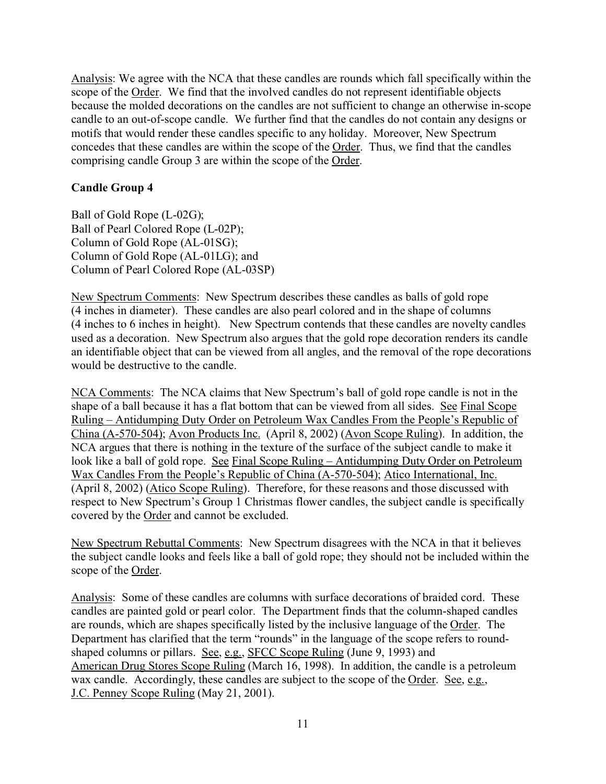Analysis: We agree with the NCA that these candles are rounds which fall specifically within the scope of the Order. We find that the involved candles do not represent identifiable objects because the molded decorations on the candles are not sufficient to change an otherwise in-scope candle to an out-of-scope candle. We further find that the candles do not contain any designs or motifs that would render these candles specific to any holiday. Moreover, New Spectrum concedes that these candles are within the scope of the Order. Thus, we find that the candles comprising candle Group 3 are within the scope of the Order.

#### **Candle Group 4**

Ball of Gold Rope (L-02G); Ball of Pearl Colored Rope (L-02P); Column of Gold Rope (AL-01SG); Column of Gold Rope (AL-01LG); and Column of Pearl Colored Rope (AL-03SP)

New Spectrum Comments: New Spectrum describes these candles as balls of gold rope (4 inches in diameter). These candles are also pearl colored and in the shape of columns (4 inches to 6 inches in height). New Spectrum contends that these candles are novelty candles used as a decoration. New Spectrum also argues that the gold rope decoration renders its candle an identifiable object that can be viewed from all angles, and the removal of the rope decorations would be destructive to the candle.

NCA Comments: The NCA claims that New Spectrum's ball of gold rope candle is not in the shape of a ball because it has a flat bottom that can be viewed from all sides. See Final Scope Ruling – Antidumping Duty Order on Petroleum Wax Candles From the People's Republic of China (A-570-504); Avon Products Inc. (April 8, 2002) (Avon Scope Ruling). In addition, the NCA argues that there is nothing in the texture of the surface of the subject candle to make it look like a ball of gold rope. See Final Scope Ruling – Antidumping Duty Order on Petroleum Wax Candles From the People's Republic of China (A-570-504); Atico International, Inc. (April 8, 2002) (Atico Scope Ruling). Therefore, for these reasons and those discussed with respect to New Spectrum's Group 1 Christmas flower candles, the subject candle is specifically covered by the Order and cannot be excluded.

New Spectrum Rebuttal Comments: New Spectrum disagrees with the NCA in that it believes the subject candle looks and feels like a ball of gold rope; they should not be included within the scope of the Order.

Analysis: Some of these candles are columns with surface decorations of braided cord. These candles are painted gold or pearl color. The Department finds that the column-shaped candles are rounds, which are shapes specifically listed by the inclusive language of the Order. The Department has clarified that the term "rounds" in the language of the scope refers to roundshaped columns or pillars. See, e.g., SFCC Scope Ruling (June 9, 1993) and American Drug Stores Scope Ruling (March 16, 1998). In addition, the candle is a petroleum wax candle. Accordingly, these candles are subject to the scope of the Order. See, e.g., J.C. Penney Scope Ruling (May 21, 2001).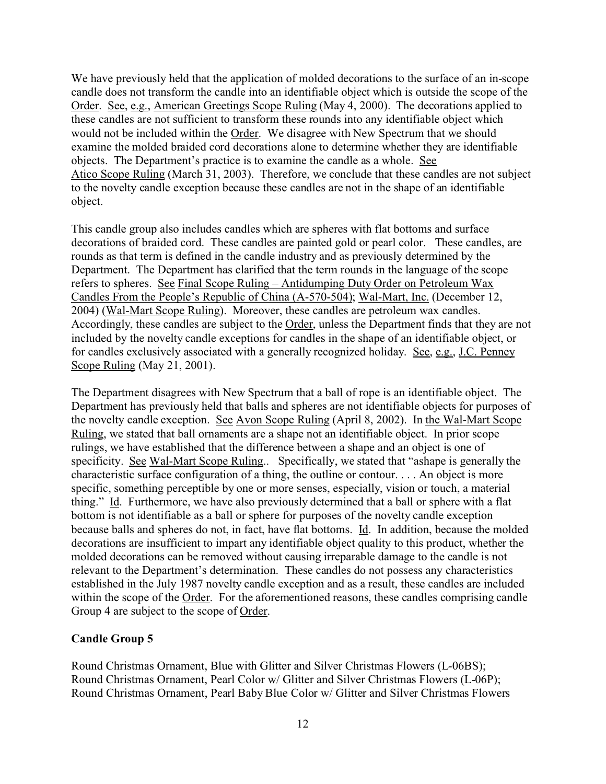We have previously held that the application of molded decorations to the surface of an in-scope candle does not transform the candle into an identifiable object which is outside the scope of the Order. See, e.g., American Greetings Scope Ruling (May 4, 2000). The decorations applied to these candles are not sufficient to transform these rounds into any identifiable object which would not be included within the Order. We disagree with New Spectrum that we should examine the molded braided cord decorations alone to determine whether they are identifiable objects. The Department's practice is to examine the candle as a whole. See Atico Scope Ruling (March 31, 2003). Therefore, we conclude that these candles are not subject to the novelty candle exception because these candles are not in the shape of an identifiable object.

This candle group also includes candles which are spheres with flat bottoms and surface decorations of braided cord. These candles are painted gold or pearl color. These candles, are rounds as that term is defined in the candle industry and as previously determined by the Department. The Department has clarified that the term rounds in the language of the scope refers to spheres. See Final Scope Ruling – Antidumping Duty Order on Petroleum Wax Candles From the People's Republic of China (A-570-504); Wal-Mart, Inc. (December 12, 2004) (Wal-Mart Scope Ruling). Moreover, these candles are petroleum wax candles. Accordingly, these candles are subject to the Order, unless the Department finds that they are not included by the novelty candle exceptions for candles in the shape of an identifiable object, or for candles exclusively associated with a generally recognized holiday. See, e.g., J.C. Penney Scope Ruling (May 21, 2001).

The Department disagrees with New Spectrum that a ball of rope is an identifiable object. The Department has previously held that balls and spheres are not identifiable objects for purposes of the novelty candle exception. See Avon Scope Ruling (April 8, 2002). In the Wal-Mart Scope Ruling, we stated that ball ornaments are a shape not an identifiable object. In prior scope rulings, we have established that the difference between a shape and an object is one of specificity. See Wal-Mart Scope Ruling.. Specifically, we stated that "ashape is generally the characteristic surface configuration of a thing, the outline or contour. . . . An object is more specific, something perceptible by one or more senses, especially, vision or touch, a material thing." Id. Furthermore, we have also previously determined that a ball or sphere with a flat bottom is not identifiable as a ball or sphere for purposes of the novelty candle exception because balls and spheres do not, in fact, have flat bottoms. Id. In addition, because the molded decorations are insufficient to impart any identifiable object quality to this product, whether the molded decorations can be removed without causing irreparable damage to the candle is not relevant to the Department's determination. These candles do not possess any characteristics established in the July 1987 novelty candle exception and as a result, these candles are included within the scope of the Order. For the aforementioned reasons, these candles comprising candle Group 4 are subject to the scope of Order.

#### **Candle Group 5**

Round Christmas Ornament, Blue with Glitter and Silver Christmas Flowers (L-06BS); Round Christmas Ornament, Pearl Color w/ Glitter and Silver Christmas Flowers (L-06P); Round Christmas Ornament, Pearl Baby Blue Color w/ Glitter and Silver Christmas Flowers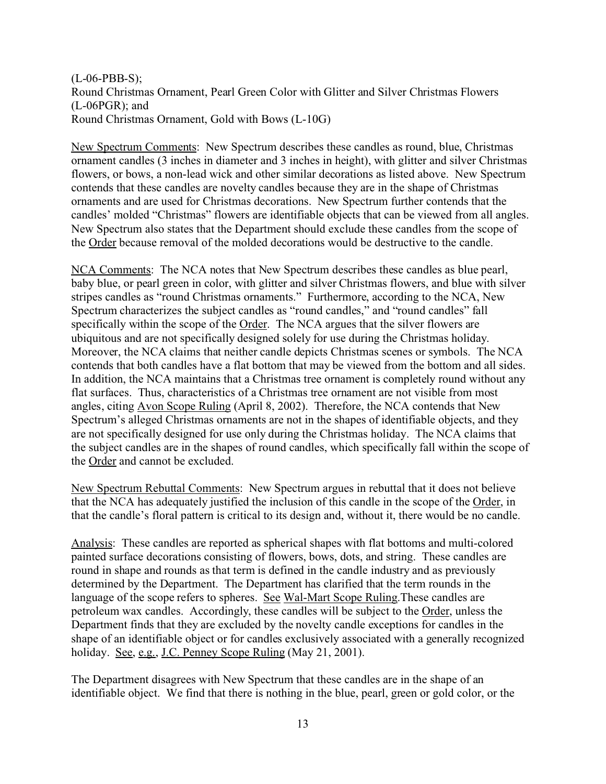(L-06-PBB-S); Round Christmas Ornament, Pearl Green Color with Glitter and Silver Christmas Flowers (L-06PGR); and Round Christmas Ornament, Gold with Bows (L-10G)

New Spectrum Comments: New Spectrum describes these candles as round, blue, Christmas ornament candles (3 inches in diameter and 3 inches in height), with glitter and silver Christmas flowers, or bows, a non-lead wick and other similar decorations as listed above. New Spectrum contends that these candles are novelty candles because they are in the shape of Christmas ornaments and are used for Christmas decorations. New Spectrum further contends that the candles' molded "Christmas" flowers are identifiable objects that can be viewed from all angles. New Spectrum also states that the Department should exclude these candles from the scope of the Order because removal of the molded decorations would be destructive to the candle.

NCA Comments: The NCA notes that New Spectrum describes these candles as blue pearl, baby blue, or pearl green in color, with glitter and silver Christmas flowers, and blue with silver stripes candles as "round Christmas ornaments." Furthermore, according to the NCA, New Spectrum characterizes the subject candles as "round candles," and "round candles" fall specifically within the scope of the Order. The NCA argues that the silver flowers are ubiquitous and are not specifically designed solely for use during the Christmas holiday. Moreover, the NCA claims that neither candle depicts Christmas scenes or symbols. The NCA contends that both candles have a flat bottom that may be viewed from the bottom and all sides. In addition, the NCA maintains that a Christmas tree ornament is completely round without any flat surfaces. Thus, characteristics of a Christmas tree ornament are not visible from most angles, citing Avon Scope Ruling (April 8, 2002). Therefore, the NCA contends that New Spectrum's alleged Christmas ornaments are not in the shapes of identifiable objects, and they are not specifically designed for use only during the Christmas holiday. The NCA claims that the subject candles are in the shapes of round candles, which specifically fall within the scope of the Order and cannot be excluded.

New Spectrum Rebuttal Comments: New Spectrum argues in rebuttal that it does not believe that the NCA has adequately justified the inclusion of this candle in the scope of the Order, in that the candle's floral pattern is critical to its design and, without it, there would be no candle.

Analysis: These candles are reported as spherical shapes with flat bottoms and multi-colored painted surface decorations consisting of flowers, bows, dots, and string. These candles are round in shape and rounds as that term is defined in the candle industry and as previously determined by the Department. The Department has clarified that the term rounds in the language of the scope refers to spheres. See Wal-Mart Scope Ruling.These candles are petroleum wax candles. Accordingly, these candles will be subject to the Order, unless the Department finds that they are excluded by the novelty candle exceptions for candles in the shape of an identifiable object or for candles exclusively associated with a generally recognized holiday. <u>See, e.g., J.C. Penney Scope Ruling</u> (May 21, 2001).

The Department disagrees with New Spectrum that these candles are in the shape of an identifiable object. We find that there is nothing in the blue, pearl, green or gold color, or the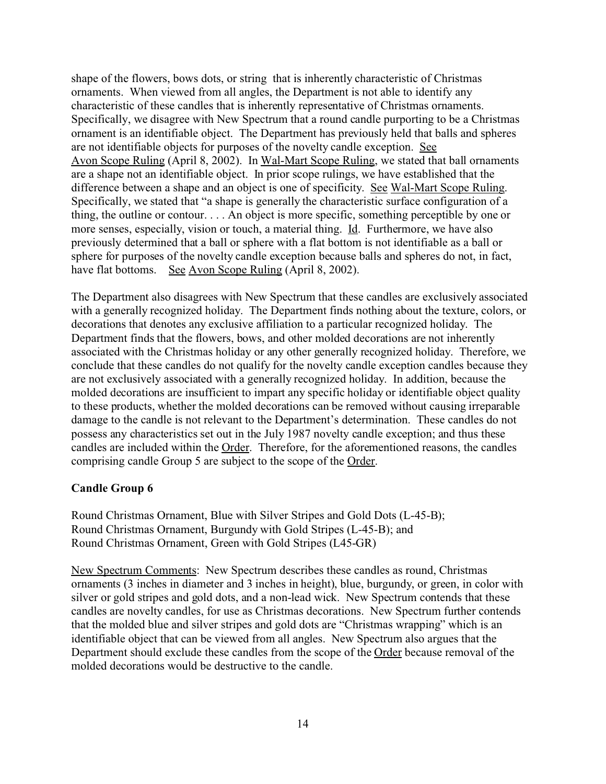shape of the flowers, bows dots, or string that is inherently characteristic of Christmas ornaments. When viewed from all angles, the Department is not able to identify any characteristic of these candles that is inherently representative of Christmas ornaments. Specifically, we disagree with New Spectrum that a round candle purporting to be a Christmas ornament is an identifiable object. The Department has previously held that balls and spheres are not identifiable objects for purposes of the novelty candle exception. See Avon Scope Ruling (April 8, 2002). In Wal-Mart Scope Ruling, we stated that ball ornaments are a shape not an identifiable object. In prior scope rulings, we have established that the difference between a shape and an object is one of specificity. See Wal-Mart Scope Ruling. Specifically, we stated that "a shape is generally the characteristic surface configuration of a thing, the outline or contour. . . . An object is more specific, something perceptible by one or more senses, especially, vision or touch, a material thing. Id. Furthermore, we have also previously determined that a ball or sphere with a flat bottom is not identifiable as a ball or sphere for purposes of the novelty candle exception because balls and spheres do not, in fact, have flat bottoms. See Avon Scope Ruling (April 8, 2002).

The Department also disagrees with New Spectrum that these candles are exclusively associated with a generally recognized holiday. The Department finds nothing about the texture, colors, or decorations that denotes any exclusive affiliation to a particular recognized holiday. The Department finds that the flowers, bows, and other molded decorations are not inherently associated with the Christmas holiday or any other generally recognized holiday. Therefore, we conclude that these candles do not qualify for the novelty candle exception candles because they are not exclusively associated with a generally recognized holiday. In addition, because the molded decorations are insufficient to impart any specific holiday or identifiable object quality to these products, whether the molded decorations can be removed without causing irreparable damage to the candle is not relevant to the Department's determination. These candles do not possess any characteristics set out in the July 1987 novelty candle exception; and thus these candles are included within the Order. Therefore, for the aforementioned reasons, the candles comprising candle Group 5 are subject to the scope of the Order.

#### **Candle Group 6**

Round Christmas Ornament, Blue with Silver Stripes and Gold Dots (L-45-B); Round Christmas Ornament, Burgundy with Gold Stripes (L-45-B); and Round Christmas Ornament, Green with Gold Stripes (L45-GR)

New Spectrum Comments: New Spectrum describes these candles as round, Christmas ornaments (3 inches in diameter and 3 inches in height), blue, burgundy, or green, in color with silver or gold stripes and gold dots, and a non-lead wick. New Spectrum contends that these candles are novelty candles, for use as Christmas decorations. New Spectrum further contends that the molded blue and silver stripes and gold dots are "Christmas wrapping" which is an identifiable object that can be viewed from all angles. New Spectrum also argues that the Department should exclude these candles from the scope of the Order because removal of the molded decorations would be destructive to the candle.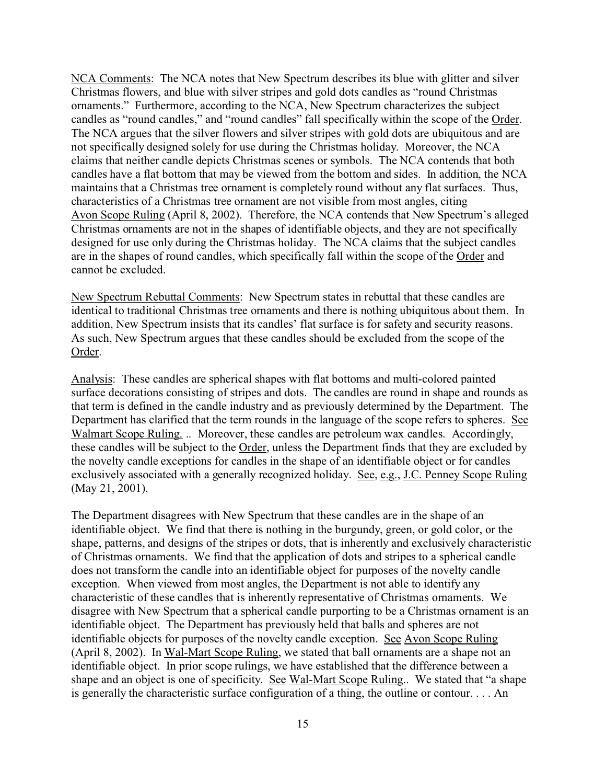NCA Comments: The NCA notes that New Spectrum describes its blue with glitter and silver Christmas flowers, and blue with silver stripes and gold dots candles as "round Christmas ornaments." Furthermore, according to the NCA, New Spectrum characterizes the subject candles as "round candles," and "round candles" fall specifically within the scope of the Order. The NCA argues that the silver flowers and silver stripes with gold dots are ubiquitous and are not specifically designed solely for use during the Christmas holiday. Moreover, the NCA claims that neither candle depicts Christmas scenes or symbols. The NCA contends that both candles have a flat bottom that may be viewed from the bottom and sides. In addition, the NCA maintains that a Christmas tree ornament is completely round without any flat surfaces. Thus, characteristics of a Christmas tree ornament are not visible from most angles, citing Avon Scope Ruling (April 8, 2002). Therefore, the NCA contends that New Spectrum's alleged Christmas ornaments are not in the shapes of identifiable objects, and they are not specifically designed for use only during the Christmas holiday. The NCA claims that the subject candles are in the shapes of round candles, which specifically fall within the scope of the Order and cannot be excluded.

New Spectrum Rebuttal Comments: New Spectrum states in rebuttal that these candles are identical to traditional Christmas tree ornaments and there is nothing ubiquitous about them. In addition, New Spectrum insists that its candles' flat surface is for safety and security reasons. As such, New Spectrum argues that these candles should be excluded from the scope of the Order.

Analysis: These candles are spherical shapes with flat bottoms and multi-colored painted surface decorations consisting of stripes and dots. The candles are round in shape and rounds as that term is defined in the candle industry and as previously determined by the Department. The Department has clarified that the term rounds in the language of the scope refers to spheres. See Walmart Scope Ruling. .. Moreover, these candles are petroleum wax candles. Accordingly, these candles will be subject to the Order, unless the Department finds that they are excluded by the novelty candle exceptions for candles in the shape of an identifiable object or for candles exclusively associated with a generally recognized holiday. See, e.g., J.C. Penney Scope Ruling (May 21, 2001).

The Department disagrees with New Spectrum that these candles are in the shape of an identifiable object. We find that there is nothing in the burgundy, green, or gold color, or the shape, patterns, and designs of the stripes or dots, that is inherently and exclusively characteristic of Christmas ornaments. We find that the application of dots and stripes to a spherical candle does not transform the candle into an identifiable object for purposes of the novelty candle exception. When viewed from most angles, the Department is not able to identify any characteristic of these candles that is inherently representative of Christmas ornaments. We disagree with New Spectrum that a spherical candle purporting to be a Christmas ornament is an identifiable object. The Department has previously held that balls and spheres are not identifiable objects for purposes of the novelty candle exception. See Avon Scope Ruling (April 8, 2002). In Wal-Mart Scope Ruling, we stated that ball ornaments are a shape not an identifiable object. In prior scope rulings, we have established that the difference between a shape and an object is one of specificity. See Wal-Mart Scope Ruling.. We stated that "a shape is generally the characteristic surface configuration of a thing, the outline or contour. . . . An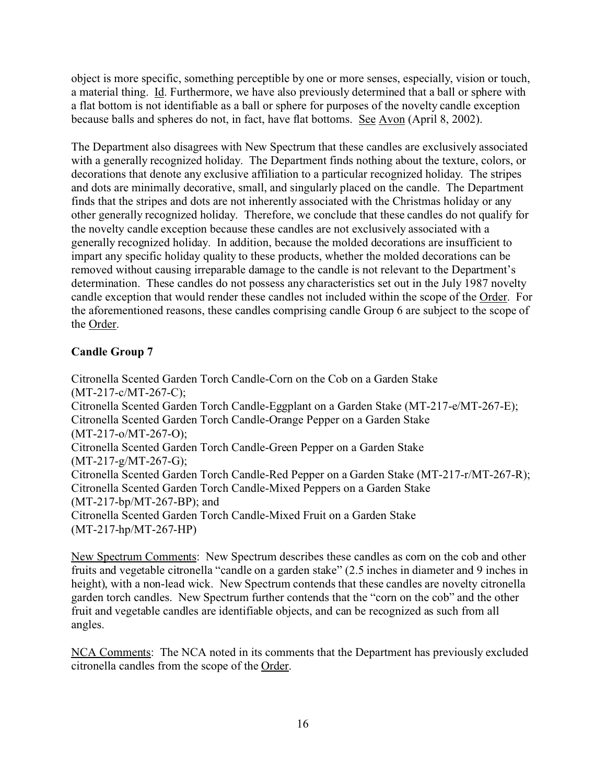object is more specific, something perceptible by one or more senses, especially, vision or touch, a material thing. Id. Furthermore, we have also previously determined that a ball or sphere with a flat bottom is not identifiable as a ball or sphere for purposes of the novelty candle exception because balls and spheres do not, in fact, have flat bottoms. See Avon (April 8, 2002).

The Department also disagrees with New Spectrum that these candles are exclusively associated with a generally recognized holiday. The Department finds nothing about the texture, colors, or decorations that denote any exclusive affiliation to a particular recognized holiday. The stripes and dots are minimally decorative, small, and singularly placed on the candle. The Department finds that the stripes and dots are not inherently associated with the Christmas holiday or any other generally recognized holiday. Therefore, we conclude that these candles do not qualify for the novelty candle exception because these candles are not exclusively associated with a generally recognized holiday. In addition, because the molded decorations are insufficient to impart any specific holiday quality to these products, whether the molded decorations can be removed without causing irreparable damage to the candle is not relevant to the Department's determination. These candles do not possess any characteristics set out in the July 1987 novelty candle exception that would render these candles not included within the scope of the Order. For the aforementioned reasons, these candles comprising candle Group 6 are subject to the scope of the Order.

## **Candle Group 7**

Citronella Scented Garden Torch Candle-Corn on the Cob on a Garden Stake (MT-217-c/MT-267-C); Citronella Scented Garden Torch Candle-Eggplant on a Garden Stake (MT-217-e/MT-267-E); Citronella Scented Garden Torch Candle-Orange Pepper on a Garden Stake (MT-217-o/MT-267-O); Citronella Scented Garden Torch Candle-Green Pepper on a Garden Stake (MT-217-g/MT-267-G); Citronella Scented Garden Torch Candle-Red Pepper on a Garden Stake (MT-217-r/MT-267-R); Citronella Scented Garden Torch Candle-Mixed Peppers on a Garden Stake (MT-217-bp/MT-267-BP); and Citronella Scented Garden Torch Candle-Mixed Fruit on a Garden Stake (MT-217-hp/MT-267-HP)

New Spectrum Comments: New Spectrum describes these candles as corn on the cob and other fruits and vegetable citronella "candle on a garden stake" (2.5 inches in diameter and 9 inches in height), with a non-lead wick. New Spectrum contends that these candles are novelty citronella garden torch candles. New Spectrum further contends that the "corn on the cob" and the other fruit and vegetable candles are identifiable objects, and can be recognized as such from all angles.

NCA Comments: The NCA noted in its comments that the Department has previously excluded citronella candles from the scope of the Order.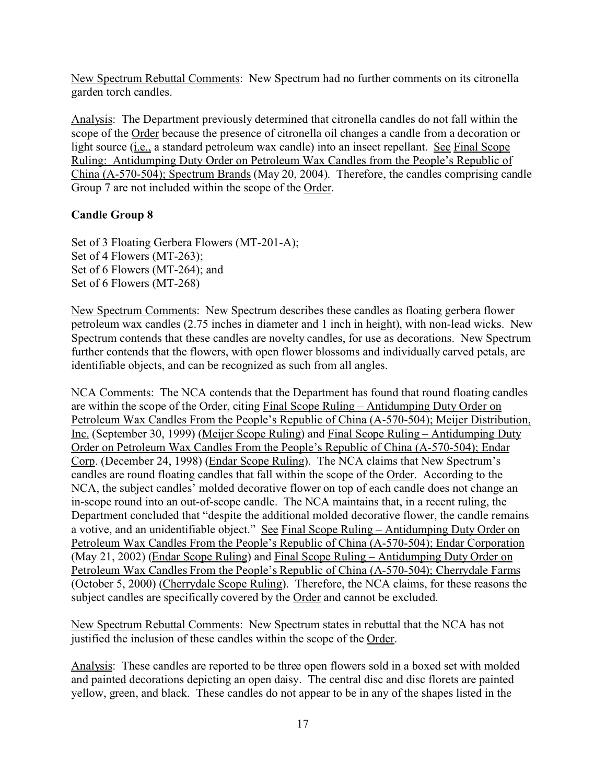New Spectrum Rebuttal Comments: New Spectrum had no further comments on its citronella garden torch candles.

Analysis: The Department previously determined that citronella candles do not fall within the scope of the Order because the presence of citronella oil changes a candle from a decoration or light source (i.e., a standard petroleum wax candle) into an insect repellant. See Final Scope Ruling: Antidumping Duty Order on Petroleum Wax Candles from the People's Republic of China (A-570-504); Spectrum Brands (May 20, 2004). Therefore, the candles comprising candle Group 7 are not included within the scope of the Order.

## **Candle Group 8**

Set of 3 Floating Gerbera Flowers (MT-201-A); Set of 4 Flowers (MT-263); Set of 6 Flowers (MT-264); and Set of 6 Flowers (MT-268)

New Spectrum Comments: New Spectrum describes these candles as floating gerbera flower petroleum wax candles (2.75 inches in diameter and 1 inch in height), with non-lead wicks. New Spectrum contends that these candles are novelty candles, for use as decorations. New Spectrum further contends that the flowers, with open flower blossoms and individually carved petals, are identifiable objects, and can be recognized as such from all angles.

NCA Comments: The NCA contends that the Department has found that round floating candles are within the scope of the Order, citing Final Scope Ruling – Antidumping Duty Order on Petroleum Wax Candles From the People's Republic of China (A-570-504); Meijer Distribution, Inc. (September 30, 1999) (Meijer Scope Ruling) and Final Scope Ruling – Antidumping Duty Order on Petroleum Wax Candles From the People's Republic of China (A-570-504); Endar Corp. (December 24, 1998) (Endar Scope Ruling). The NCA claims that New Spectrum's candles are round floating candles that fall within the scope of the Order. According to the NCA, the subject candles' molded decorative flower on top of each candle does not change an in-scope round into an out-of-scope candle. The NCA maintains that, in a recent ruling, the Department concluded that "despite the additional molded decorative flower, the candle remains a votive, and an unidentifiable object." See Final Scope Ruling – Antidumping Duty Order on Petroleum Wax Candles From the People's Republic of China (A-570-504); Endar Corporation (May 21, 2002) (Endar Scope Ruling) and Final Scope Ruling – Antidumping Duty Order on Petroleum Wax Candles From the People's Republic of China (A-570-504); Cherrydale Farms (October 5, 2000) (Cherrydale Scope Ruling). Therefore, the NCA claims, for these reasons the subject candles are specifically covered by the Order and cannot be excluded.

New Spectrum Rebuttal Comments: New Spectrum states in rebuttal that the NCA has not justified the inclusion of these candles within the scope of the Order.

Analysis: These candles are reported to be three open flowers sold in a boxed set with molded and painted decorations depicting an open daisy. The central disc and disc florets are painted yellow, green, and black. These candles do not appear to be in any of the shapes listed in the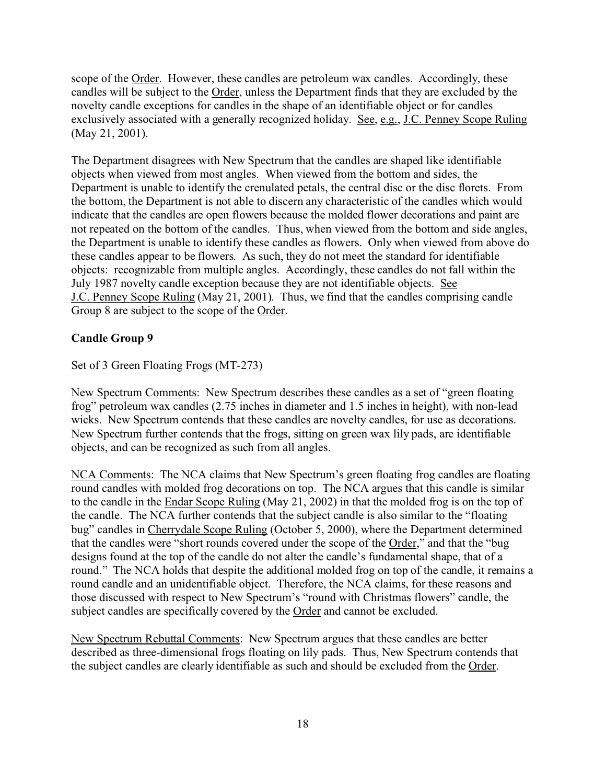scope of the Order. However, these candles are petroleum wax candles. Accordingly, these candles will be subject to the Order, unless the Department finds that they are excluded by the novelty candle exceptions for candles in the shape of an identifiable object or for candles exclusively associated with a generally recognized holiday. See, e.g., J.C. Penney Scope Ruling (May 21, 2001).

The Department disagrees with New Spectrum that the candles are shaped like identifiable objects when viewed from most angles. When viewed from the bottom and sides, the Department is unable to identify the crenulated petals, the central disc or the disc florets. From the bottom, the Department is not able to discern any characteristic of the candles which would indicate that the candles are open flowers because the molded flower decorations and paint are not repeated on the bottom of the candles. Thus, when viewed from the bottom and side angles, the Department is unable to identify these candles as flowers. Only when viewed from above do these candles appear to be flowers. As such, they do not meet the standard for identifiable objects: recognizable from multiple angles. Accordingly, these candles do not fall within the July 1987 novelty candle exception because they are not identifiable objects. See J.C. Penney Scope Ruling (May 21, 2001). Thus, we find that the candles comprising candle Group 8 are subject to the scope of the Order.

## **Candle Group 9**

Set of 3 Green Floating Frogs (MT-273)

New Spectrum Comments: New Spectrum describes these candles as a set of "green floating frog" petroleum wax candles (2.75 inches in diameter and 1.5 inches in height), with non-lead wicks. New Spectrum contends that these candles are novelty candles, for use as decorations. New Spectrum further contends that the frogs, sitting on green wax lily pads, are identifiable objects, and can be recognized as such from all angles.

NCA Comments: The NCA claims that New Spectrum's green floating frog candles are floating round candles with molded frog decorations on top. The NCA argues that this candle is similar to the candle in the Endar Scope Ruling (May 21, 2002) in that the molded frog is on the top of the candle. The NCA further contends that the subject candle is also similar to the "floating bug" candles in Cherrydale Scope Ruling (October 5, 2000), where the Department determined that the candles were "short rounds covered under the scope of the Order," and that the "bug designs found at the top of the candle do not alter the candle's fundamental shape, that of a round." The NCA holds that despite the additional molded frog on top of the candle, it remains a round candle and an unidentifiable object. Therefore, the NCA claims, for these reasons and those discussed with respect to New Spectrum's "round with Christmas flowers" candle, the subject candles are specifically covered by the Order and cannot be excluded.

New Spectrum Rebuttal Comments: New Spectrum argues that these candles are better described as three-dimensional frogs floating on lily pads. Thus, New Spectrum contends that the subject candles are clearly identifiable as such and should be excluded from the Order.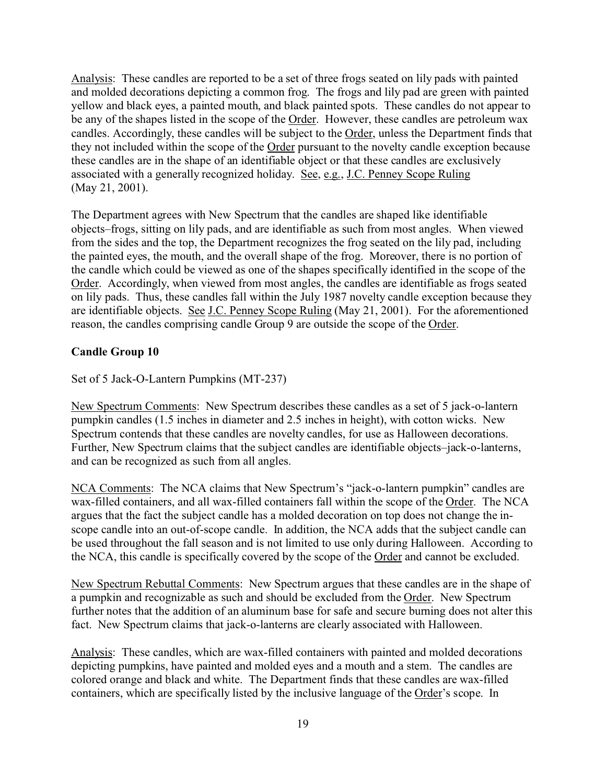Analysis: These candles are reported to be a set of three frogs seated on lily pads with painted and molded decorations depicting a common frog. The frogs and lily pad are green with painted yellow and black eyes, a painted mouth, and black painted spots. These candles do not appear to be any of the shapes listed in the scope of the Order. However, these candles are petroleum wax candles. Accordingly, these candles will be subject to the Order, unless the Department finds that they not included within the scope of the Order pursuant to the novelty candle exception because these candles are in the shape of an identifiable object or that these candles are exclusively associated with a generally recognized holiday. See, e.g., J.C. Penney Scope Ruling (May 21, 2001).

The Department agrees with New Spectrum that the candles are shaped like identifiable objects–frogs, sitting on lily pads, and are identifiable as such from most angles. When viewed from the sides and the top, the Department recognizes the frog seated on the lily pad, including the painted eyes, the mouth, and the overall shape of the frog. Moreover, there is no portion of the candle which could be viewed as one of the shapes specifically identified in the scope of the Order. Accordingly, when viewed from most angles, the candles are identifiable as frogs seated on lily pads. Thus, these candles fall within the July 1987 novelty candle exception because they are identifiable objects. See J.C. Penney Scope Ruling (May 21, 2001). For the aforementioned reason, the candles comprising candle Group 9 are outside the scope of the Order.

#### **Candle Group 10**

Set of 5 Jack-O-Lantern Pumpkins (MT-237)

New Spectrum Comments: New Spectrum describes these candles as a set of 5 jack-o-lantern pumpkin candles (1.5 inches in diameter and 2.5 inches in height), with cotton wicks. New Spectrum contends that these candles are novelty candles, for use as Halloween decorations. Further, New Spectrum claims that the subject candles are identifiable objects–jack-o-lanterns, and can be recognized as such from all angles.

NCA Comments: The NCA claims that New Spectrum's "jack-o-lantern pumpkin" candles are wax-filled containers, and all wax-filled containers fall within the scope of the Order. The NCA argues that the fact the subject candle has a molded decoration on top does not change the inscope candle into an out-of-scope candle. In addition, the NCA adds that the subject candle can be used throughout the fall season and is not limited to use only during Halloween. According to the NCA, this candle is specifically covered by the scope of the Order and cannot be excluded.

New Spectrum Rebuttal Comments: New Spectrum argues that these candles are in the shape of a pumpkin and recognizable as such and should be excluded from the Order. New Spectrum further notes that the addition of an aluminum base for safe and secure burning does not alter this fact. New Spectrum claims that jack-o-lanterns are clearly associated with Halloween.

Analysis: These candles, which are wax-filled containers with painted and molded decorations depicting pumpkins, have painted and molded eyes and a mouth and a stem. The candles are colored orange and black and white. The Department finds that these candles are wax-filled containers, which are specifically listed by the inclusive language of the Order's scope. In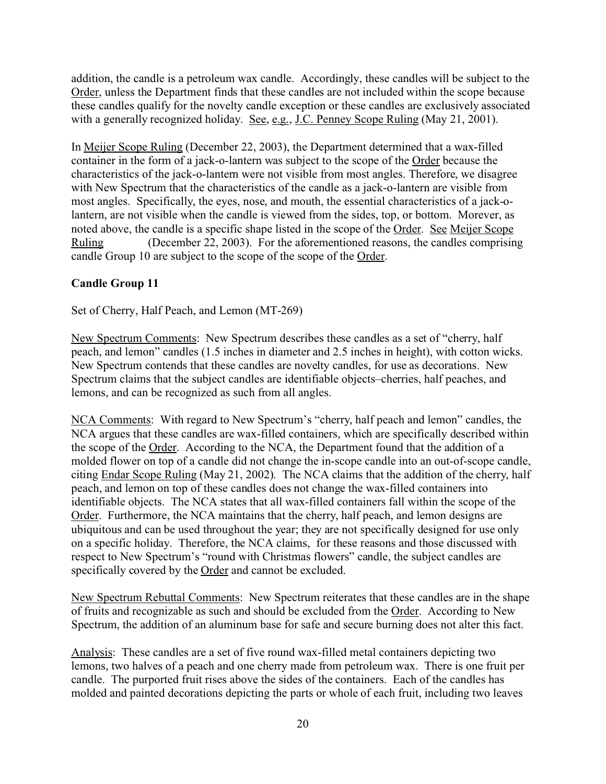addition, the candle is a petroleum wax candle. Accordingly, these candles will be subject to the Order, unless the Department finds that these candles are not included within the scope because these candles qualify for the novelty candle exception or these candles are exclusively associated with a generally recognized holiday. See, e.g., J.C. Penney Scope Ruling (May 21, 2001).

In Meijer Scope Ruling (December 22, 2003), the Department determined that a wax-filled container in the form of a jack-o-lantern was subject to the scope of the Order because the characteristics of the jack-o-lantern were not visible from most angles. Therefore, we disagree with New Spectrum that the characteristics of the candle as a jack-o-lantern are visible from most angles. Specifically, the eyes, nose, and mouth, the essential characteristics of a jack-olantern, are not visible when the candle is viewed from the sides, top, or bottom. Morever, as noted above, the candle is a specific shape listed in the scope of the Order. See Meijer Scope Ruling (December 22, 2003). For the aforementioned reasons, the candles comprising candle Group 10 are subject to the scope of the scope of the Order.

## **Candle Group 11**

Set of Cherry, Half Peach, and Lemon (MT-269)

New Spectrum Comments: New Spectrum describes these candles as a set of "cherry, half peach, and lemon" candles (1.5 inches in diameter and 2.5 inches in height), with cotton wicks. New Spectrum contends that these candles are novelty candles, for use as decorations. New Spectrum claims that the subject candles are identifiable objects–cherries, half peaches, and lemons, and can be recognized as such from all angles.

NCA Comments: With regard to New Spectrum's "cherry, half peach and lemon" candles, the NCA argues that these candles are wax-filled containers, which are specifically described within the scope of the Order. According to the NCA, the Department found that the addition of a molded flower on top of a candle did not change the in-scope candle into an out-of-scope candle, citing Endar Scope Ruling (May 21, 2002). The NCA claims that the addition of the cherry, half peach, and lemon on top of these candles does not change the wax-filled containers into identifiable objects. The NCA states that all wax-filled containers fall within the scope of the Order. Furthermore, the NCA maintains that the cherry, half peach, and lemon designs are ubiquitous and can be used throughout the year; they are not specifically designed for use only on a specific holiday. Therefore, the NCA claims, for these reasons and those discussed with respect to New Spectrum's "round with Christmas flowers" candle, the subject candles are specifically covered by the Order and cannot be excluded.

New Spectrum Rebuttal Comments: New Spectrum reiterates that these candles are in the shape of fruits and recognizable as such and should be excluded from the Order. According to New Spectrum, the addition of an aluminum base for safe and secure burning does not alter this fact.

Analysis: These candles are a set of five round wax-filled metal containers depicting two lemons, two halves of a peach and one cherry made from petroleum wax. There is one fruit per candle. The purported fruit rises above the sides of the containers. Each of the candles has molded and painted decorations depicting the parts or whole of each fruit, including two leaves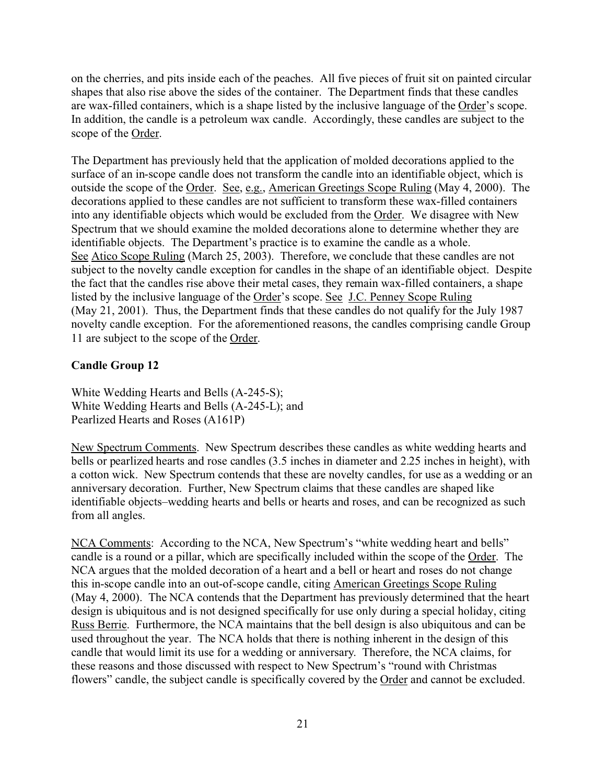on the cherries, and pits inside each of the peaches. All five pieces of fruit sit on painted circular shapes that also rise above the sides of the container. The Department finds that these candles are wax-filled containers, which is a shape listed by the inclusive language of the Order's scope. In addition, the candle is a petroleum wax candle. Accordingly, these candles are subject to the scope of the Order.

The Department has previously held that the application of molded decorations applied to the surface of an in-scope candle does not transform the candle into an identifiable object, which is outside the scope of the Order. See, e.g., American Greetings Scope Ruling (May 4, 2000). The decorations applied to these candles are not sufficient to transform these wax-filled containers into any identifiable objects which would be excluded from the Order. We disagree with New Spectrum that we should examine the molded decorations alone to determine whether they are identifiable objects. The Department's practice is to examine the candle as a whole. See Atico Scope Ruling (March 25, 2003). Therefore, we conclude that these candles are not subject to the novelty candle exception for candles in the shape of an identifiable object. Despite the fact that the candles rise above their metal cases, they remain wax-filled containers, a shape listed by the inclusive language of the Order's scope. See J.C. Penney Scope Ruling (May 21, 2001). Thus, the Department finds that these candles do not qualify for the July 1987 novelty candle exception. For the aforementioned reasons, the candles comprising candle Group 11 are subject to the scope of the Order.

#### **Candle Group 12**

White Wedding Hearts and Bells (A-245-S); White Wedding Hearts and Bells (A-245-L); and Pearlized Hearts and Roses (A161P)

New Spectrum Comments. New Spectrum describes these candles as white wedding hearts and bells or pearlized hearts and rose candles (3.5 inches in diameter and 2.25 inches in height), with a cotton wick. New Spectrum contends that these are novelty candles, for use as a wedding or an anniversary decoration. Further, New Spectrum claims that these candles are shaped like identifiable objects–wedding hearts and bells or hearts and roses, and can be recognized as such from all angles.

NCA Comments: According to the NCA, New Spectrum's "white wedding heart and bells" candle is a round or a pillar, which are specifically included within the scope of the Order. The NCA argues that the molded decoration of a heart and a bell or heart and roses do not change this in-scope candle into an out-of-scope candle, citing American Greetings Scope Ruling (May 4, 2000). The NCA contends that the Department has previously determined that the heart design is ubiquitous and is not designed specifically for use only during a special holiday, citing Russ Berrie. Furthermore, the NCA maintains that the bell design is also ubiquitous and can be used throughout the year. The NCA holds that there is nothing inherent in the design of this candle that would limit its use for a wedding or anniversary. Therefore, the NCA claims, for these reasons and those discussed with respect to New Spectrum's "round with Christmas flowers" candle, the subject candle is specifically covered by the Order and cannot be excluded.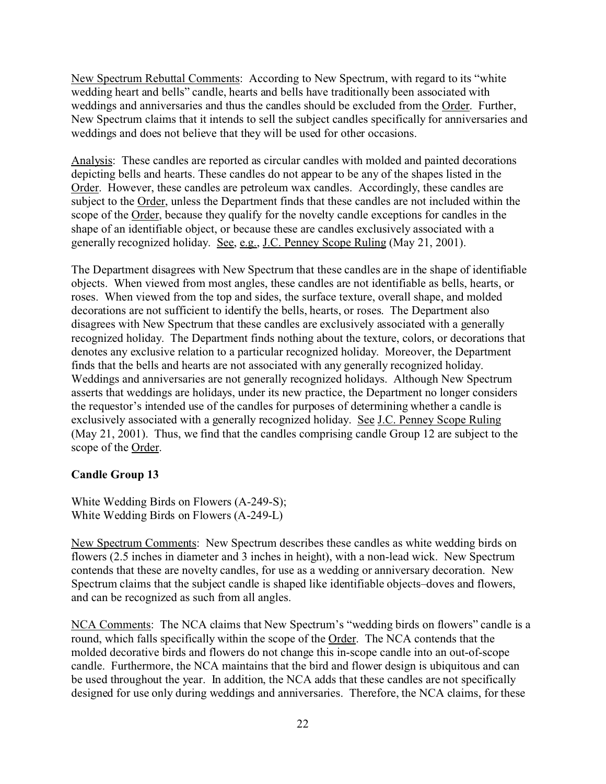New Spectrum Rebuttal Comments: According to New Spectrum, with regard to its "white wedding heart and bells" candle, hearts and bells have traditionally been associated with weddings and anniversaries and thus the candles should be excluded from the Order. Further, New Spectrum claims that it intends to sell the subject candles specifically for anniversaries and weddings and does not believe that they will be used for other occasions.

Analysis: These candles are reported as circular candles with molded and painted decorations depicting bells and hearts. These candles do not appear to be any of the shapes listed in the Order. However, these candles are petroleum wax candles. Accordingly, these candles are subject to the Order, unless the Department finds that these candles are not included within the scope of the Order, because they qualify for the novelty candle exceptions for candles in the shape of an identifiable object, or because these are candles exclusively associated with a generally recognized holiday. See, e.g., J.C. Penney Scope Ruling (May 21, 2001).

The Department disagrees with New Spectrum that these candles are in the shape of identifiable objects. When viewed from most angles, these candles are not identifiable as bells, hearts, or roses. When viewed from the top and sides, the surface texture, overall shape, and molded decorations are not sufficient to identify the bells, hearts, or roses. The Department also disagrees with New Spectrum that these candles are exclusively associated with a generally recognized holiday. The Department finds nothing about the texture, colors, or decorations that denotes any exclusive relation to a particular recognized holiday. Moreover, the Department finds that the bells and hearts are not associated with any generally recognized holiday. Weddings and anniversaries are not generally recognized holidays. Although New Spectrum asserts that weddings are holidays, under its new practice, the Department no longer considers the requestor's intended use of the candles for purposes of determining whether a candle is exclusively associated with a generally recognized holiday. See J.C. Penney Scope Ruling (May 21, 2001). Thus, we find that the candles comprising candle Group 12 are subject to the scope of the Order.

#### **Candle Group 13**

White Wedding Birds on Flowers (A-249-S); White Wedding Birds on Flowers (A-249-L)

New Spectrum Comments: New Spectrum describes these candles as white wedding birds on flowers (2.5 inches in diameter and 3 inches in height), with a non-lead wick. New Spectrum contends that these are novelty candles, for use as a wedding or anniversary decoration. New Spectrum claims that the subject candle is shaped like identifiable objects–doves and flowers, and can be recognized as such from all angles.

NCA Comments: The NCA claims that New Spectrum's "wedding birds on flowers" candle is a round, which falls specifically within the scope of the Order. The NCA contends that the molded decorative birds and flowers do not change this in-scope candle into an out-of-scope candle. Furthermore, the NCA maintains that the bird and flower design is ubiquitous and can be used throughout the year. In addition, the NCA adds that these candles are not specifically designed for use only during weddings and anniversaries. Therefore, the NCA claims, for these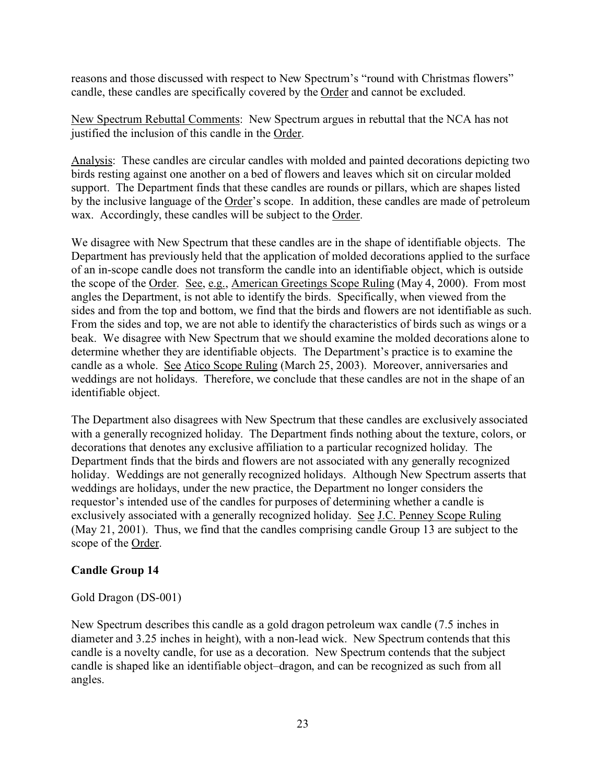reasons and those discussed with respect to New Spectrum's "round with Christmas flowers" candle, these candles are specifically covered by the Order and cannot be excluded.

New Spectrum Rebuttal Comments: New Spectrum argues in rebuttal that the NCA has not justified the inclusion of this candle in the Order.

Analysis: These candles are circular candles with molded and painted decorations depicting two birds resting against one another on a bed of flowers and leaves which sit on circular molded support. The Department finds that these candles are rounds or pillars, which are shapes listed by the inclusive language of the Order's scope. In addition, these candles are made of petroleum wax. Accordingly, these candles will be subject to the Order.

We disagree with New Spectrum that these candles are in the shape of identifiable objects. The Department has previously held that the application of molded decorations applied to the surface of an in-scope candle does not transform the candle into an identifiable object, which is outside the scope of the Order. See, e.g., American Greetings Scope Ruling (May 4, 2000). From most angles the Department, is not able to identify the birds. Specifically, when viewed from the sides and from the top and bottom, we find that the birds and flowers are not identifiable as such. From the sides and top, we are not able to identify the characteristics of birds such as wings or a beak. We disagree with New Spectrum that we should examine the molded decorations alone to determine whether they are identifiable objects. The Department's practice is to examine the candle as a whole. See Atico Scope Ruling (March 25, 2003). Moreover, anniversaries and weddings are not holidays. Therefore, we conclude that these candles are not in the shape of an identifiable object.

The Department also disagrees with New Spectrum that these candles are exclusively associated with a generally recognized holiday. The Department finds nothing about the texture, colors, or decorations that denotes any exclusive affiliation to a particular recognized holiday. The Department finds that the birds and flowers are not associated with any generally recognized holiday. Weddings are not generally recognized holidays. Although New Spectrum asserts that weddings are holidays, under the new practice, the Department no longer considers the requestor's intended use of the candles for purposes of determining whether a candle is exclusively associated with a generally recognized holiday. See J.C. Penney Scope Ruling (May 21, 2001). Thus, we find that the candles comprising candle Group 13 are subject to the scope of the Order.

## **Candle Group 14**

#### Gold Dragon (DS-001)

New Spectrum describes this candle as a gold dragon petroleum wax candle (7.5 inches in diameter and 3.25 inches in height), with a non-lead wick. New Spectrum contends that this candle is a novelty candle, for use as a decoration. New Spectrum contends that the subject candle is shaped like an identifiable object–dragon, and can be recognized as such from all angles.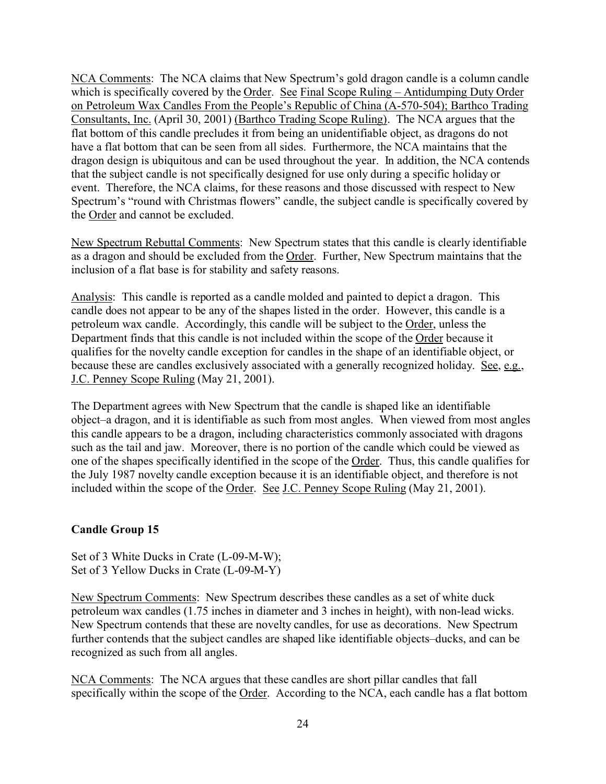NCA Comments: The NCA claims that New Spectrum's gold dragon candle is a column candle which is specifically covered by the Order. See Final Scope Ruling – Antidumping Duty Order on Petroleum Wax Candles From the People's Republic of China (A-570-504); Barthco Trading Consultants, Inc. (April 30, 2001) (Barthco Trading Scope Ruling). The NCA argues that the flat bottom of this candle precludes it from being an unidentifiable object, as dragons do not have a flat bottom that can be seen from all sides. Furthermore, the NCA maintains that the dragon design is ubiquitous and can be used throughout the year. In addition, the NCA contends that the subject candle is not specifically designed for use only during a specific holiday or event. Therefore, the NCA claims, for these reasons and those discussed with respect to New Spectrum's "round with Christmas flowers" candle, the subject candle is specifically covered by the Order and cannot be excluded.

New Spectrum Rebuttal Comments: New Spectrum states that this candle is clearly identifiable as a dragon and should be excluded from the Order. Further, New Spectrum maintains that the inclusion of a flat base is for stability and safety reasons.

Analysis: This candle is reported as a candle molded and painted to depict a dragon. This candle does not appear to be any of the shapes listed in the order. However, this candle is a petroleum wax candle. Accordingly, this candle will be subject to the Order, unless the Department finds that this candle is not included within the scope of the Order because it qualifies for the novelty candle exception for candles in the shape of an identifiable object, or because these are candles exclusively associated with a generally recognized holiday. See, e.g., J.C. Penney Scope Ruling (May 21, 2001).

The Department agrees with New Spectrum that the candle is shaped like an identifiable object–a dragon, and it is identifiable as such from most angles. When viewed from most angles this candle appears to be a dragon, including characteristics commonly associated with dragons such as the tail and jaw. Moreover, there is no portion of the candle which could be viewed as one of the shapes specifically identified in the scope of the Order. Thus, this candle qualifies for the July 1987 novelty candle exception because it is an identifiable object, and therefore is not included within the scope of the Order. See J.C. Penney Scope Ruling (May 21, 2001).

#### **Candle Group 15**

Set of 3 White Ducks in Crate (L-09-M-W); Set of 3 Yellow Ducks in Crate (L-09-M-Y)

New Spectrum Comments: New Spectrum describes these candles as a set of white duck petroleum wax candles (1.75 inches in diameter and 3 inches in height), with non-lead wicks. New Spectrum contends that these are novelty candles, for use as decorations. New Spectrum further contends that the subject candles are shaped like identifiable objects–ducks, and can be recognized as such from all angles.

NCA Comments: The NCA argues that these candles are short pillar candles that fall specifically within the scope of the Order. According to the NCA, each candle has a flat bottom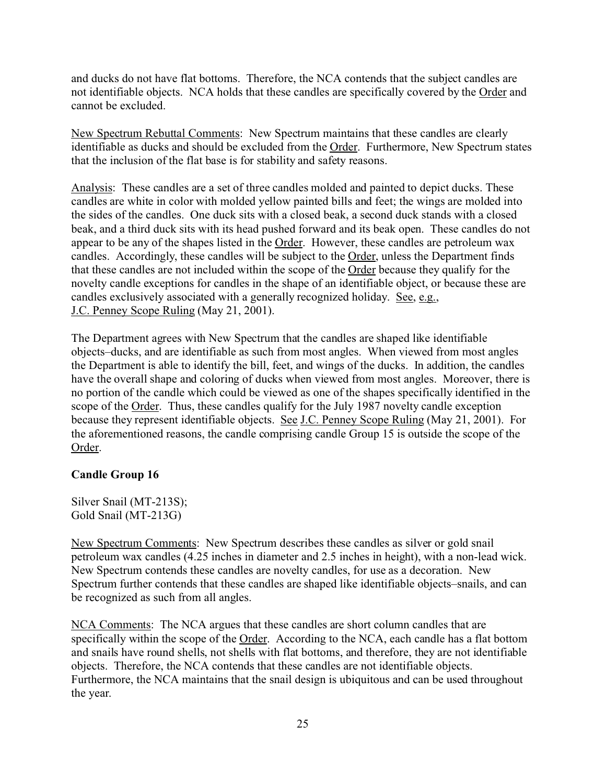and ducks do not have flat bottoms. Therefore, the NCA contends that the subject candles are not identifiable objects. NCA holds that these candles are specifically covered by the Order and cannot be excluded.

New Spectrum Rebuttal Comments: New Spectrum maintains that these candles are clearly identifiable as ducks and should be excluded from the Order. Furthermore, New Spectrum states that the inclusion of the flat base is for stability and safety reasons.

Analysis: These candles are a set of three candles molded and painted to depict ducks. These candles are white in color with molded yellow painted bills and feet; the wings are molded into the sides of the candles. One duck sits with a closed beak, a second duck stands with a closed beak, and a third duck sits with its head pushed forward and its beak open. These candles do not appear to be any of the shapes listed in the Order. However, these candles are petroleum wax candles. Accordingly, these candles will be subject to the Order, unless the Department finds that these candles are not included within the scope of the Order because they qualify for the novelty candle exceptions for candles in the shape of an identifiable object, or because these are candles exclusively associated with a generally recognized holiday. See, e.g., J.C. Penney Scope Ruling (May 21, 2001).

The Department agrees with New Spectrum that the candles are shaped like identifiable objects–ducks, and are identifiable as such from most angles. When viewed from most angles the Department is able to identify the bill, feet, and wings of the ducks. In addition, the candles have the overall shape and coloring of ducks when viewed from most angles. Moreover, there is no portion of the candle which could be viewed as one of the shapes specifically identified in the scope of the Order. Thus, these candles qualify for the July 1987 novelty candle exception because they represent identifiable objects. See J.C. Penney Scope Ruling (May 21, 2001). For the aforementioned reasons, the candle comprising candle Group 15 is outside the scope of the Order.

#### **Candle Group 16**

Silver Snail (MT-213S); Gold Snail (MT-213G)

New Spectrum Comments: New Spectrum describes these candles as silver or gold snail petroleum wax candles (4.25 inches in diameter and 2.5 inches in height), with a non-lead wick. New Spectrum contends these candles are novelty candles, for use as a decoration. New Spectrum further contends that these candles are shaped like identifiable objects–snails, and can be recognized as such from all angles.

NCA Comments: The NCA argues that these candles are short column candles that are specifically within the scope of the Order. According to the NCA, each candle has a flat bottom and snails have round shells, not shells with flat bottoms, and therefore, they are not identifiable objects. Therefore, the NCA contends that these candles are not identifiable objects. Furthermore, the NCA maintains that the snail design is ubiquitous and can be used throughout the year.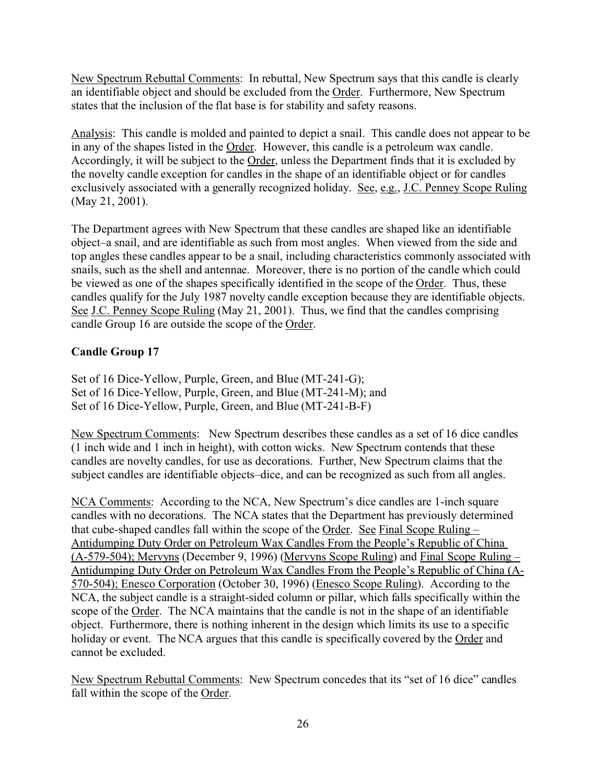New Spectrum Rebuttal Comments: In rebuttal, New Spectrum says that this candle is clearly an identifiable object and should be excluded from the Order.Furthermore, New Spectrum states that the inclusion of the flat base is for stability and safety reasons.

Analysis: This candle is molded and painted to depict a snail. This candle does not appear to be in any of the shapes listed in the Order. However, this candle is a petroleum wax candle. Accordingly, it will be subject to the Order, unless the Department finds that it is excluded by the novelty candle exception for candles in the shape of an identifiable object or for candles exclusively associated with a generally recognized holiday. See, e.g., J.C. Penney Scope Ruling (May 21, 2001).

The Department agrees with New Spectrum that these candles are shaped like an identifiable object–a snail, and are identifiable as such from most angles. When viewed from the side and top angles these candles appear to be a snail, including characteristics commonly associated with snails, such as the shell and antennae. Moreover, there is no portion of the candle which could be viewed as one of the shapes specifically identified in the scope of the Order. Thus, these candles qualify for the July 1987 novelty candle exception because they are identifiable objects. See J.C. Penney Scope Ruling (May 21, 2001). Thus, we find that the candles comprising candle Group 16 are outside the scope of the Order.

## **Candle Group 17**

Set of 16 Dice-Yellow, Purple, Green, and Blue (MT-241-G); Set of 16 Dice-Yellow, Purple, Green, and Blue (MT-241-M); and Set of 16 Dice-Yellow, Purple, Green, and Blue (MT-241-B-F)

New Spectrum Comments: New Spectrum describes these candles as a set of 16 dice candles (1 inch wide and 1 inch in height), with cotton wicks. New Spectrum contends that these candles are novelty candles, for use as decorations. Further, New Spectrum claims that the subject candles are identifiable objects–dice, and can be recognized as such from all angles.

NCA Comments: According to the NCA, New Spectrum's dice candles are 1-inch square candles with no decorations. The NCA states that the Department has previously determined that cube-shaped candles fall within the scope of the Order. See Final Scope Ruling – Antidumping Duty Order on Petroleum Wax Candles From the People's Republic of China (A-579-504); Mervyns (December 9, 1996) (Mervyns Scope Ruling) and Final Scope Ruling – Antidumping Duty Order on Petroleum Wax Candles From the People's Republic of China (A-570-504); Enesco Corporation (October 30, 1996) (Enesco Scope Ruling). According to the NCA, the subject candle is a straight-sided column or pillar, which falls specifically within the scope of the Order. The NCA maintains that the candle is not in the shape of an identifiable object. Furthermore, there is nothing inherent in the design which limits its use to a specific holiday or event. The NCA argues that this candle is specifically covered by the Order and cannot be excluded.

New Spectrum Rebuttal Comments: New Spectrum concedes that its "set of 16 dice" candles fall within the scope of the Order.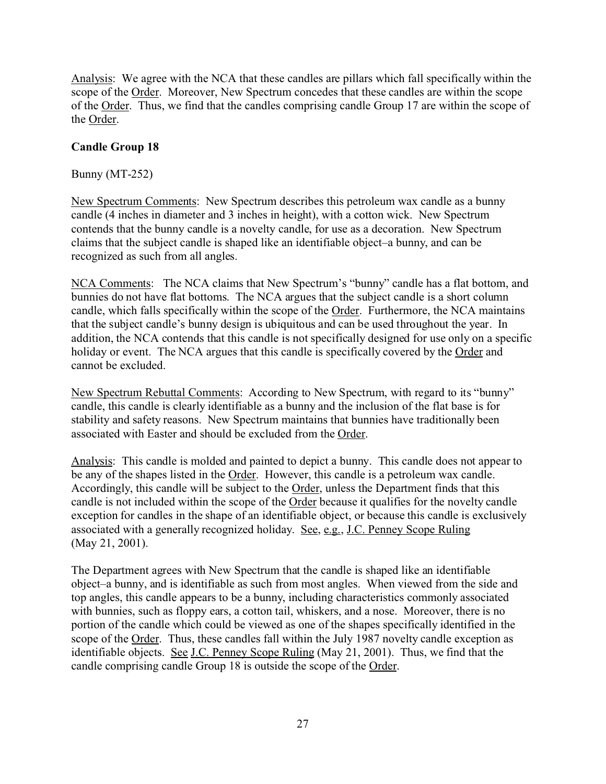Analysis: We agree with the NCA that these candles are pillars which fall specifically within the scope of the Order. Moreover, New Spectrum concedes that these candles are within the scope of the Order. Thus, we find that the candles comprising candle Group 17 are within the scope of the Order.

## **Candle Group 18**

Bunny (MT-252)

New Spectrum Comments: New Spectrum describes this petroleum wax candle as a bunny candle (4 inches in diameter and 3 inches in height), with a cotton wick. New Spectrum contends that the bunny candle is a novelty candle, for use as a decoration. New Spectrum claims that the subject candle is shaped like an identifiable object–a bunny, and can be recognized as such from all angles.

NCA Comments: The NCA claims that New Spectrum's "bunny" candle has a flat bottom, and bunnies do not have flat bottoms. The NCA argues that the subject candle is a short column candle, which falls specifically within the scope of the Order. Furthermore, the NCA maintains that the subject candle's bunny design is ubiquitous and can be used throughout the year. In addition, the NCA contends that this candle is not specifically designed for use only on a specific holiday or event. The NCA argues that this candle is specifically covered by the Order and cannot be excluded.

New Spectrum Rebuttal Comments: According to New Spectrum, with regard to its "bunny" candle, this candle is clearly identifiable as a bunny and the inclusion of the flat base is for stability and safety reasons. New Spectrum maintains that bunnies have traditionally been associated with Easter and should be excluded from the Order.

Analysis: This candle is molded and painted to depict a bunny. This candle does not appear to be any of the shapes listed in the Order. However, this candle is a petroleum wax candle. Accordingly, this candle will be subject to the Order, unless the Department finds that this candle is not included within the scope of the Order because it qualifies for the novelty candle exception for candles in the shape of an identifiable object, or because this candle is exclusively associated with a generally recognized holiday. See, e.g., J.C. Penney Scope Ruling (May 21, 2001).

The Department agrees with New Spectrum that the candle is shaped like an identifiable object–a bunny, and is identifiable as such from most angles. When viewed from the side and top angles, this candle appears to be a bunny, including characteristics commonly associated with bunnies, such as floppy ears, a cotton tail, whiskers, and a nose. Moreover, there is no portion of the candle which could be viewed as one of the shapes specifically identified in the scope of the Order. Thus, these candles fall within the July 1987 novelty candle exception as identifiable objects. See J.C. Penney Scope Ruling (May 21, 2001). Thus, we find that the candle comprising candle Group 18 is outside the scope of the Order.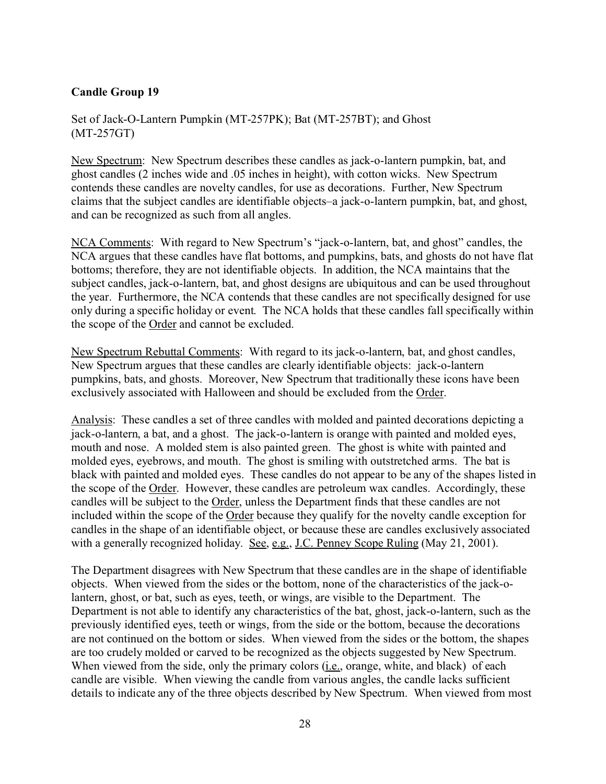### **Candle Group 19**

Set of Jack-O-Lantern Pumpkin (MT-257PK); Bat (MT-257BT); and Ghost (MT-257GT)

New Spectrum: New Spectrum describes these candles as jack-o-lantern pumpkin, bat, and ghost candles (2 inches wide and .05 inches in height), with cotton wicks. New Spectrum contends these candles are novelty candles, for use as decorations. Further, New Spectrum claims that the subject candles are identifiable objects–a jack-o-lantern pumpkin, bat, and ghost, and can be recognized as such from all angles.

NCA Comments: With regard to New Spectrum's "jack-o-lantern, bat, and ghost" candles, the NCA argues that these candles have flat bottoms, and pumpkins, bats, and ghosts do not have flat bottoms; therefore, they are not identifiable objects. In addition, the NCA maintains that the subject candles, jack-o-lantern, bat, and ghost designs are ubiquitous and can be used throughout the year. Furthermore, the NCA contends that these candles are not specifically designed for use only during a specific holiday or event. The NCA holds that these candles fall specifically within the scope of the Order and cannot be excluded.

New Spectrum Rebuttal Comments: With regard to its jack-o-lantern, bat, and ghost candles, New Spectrum argues that these candles are clearly identifiable objects: jack-o-lantern pumpkins, bats, and ghosts. Moreover, New Spectrum that traditionally these icons have been exclusively associated with Halloween and should be excluded from the Order.

Analysis: These candles a set of three candles with molded and painted decorations depicting a jack-o-lantern, a bat, and a ghost. The jack-o-lantern is orange with painted and molded eyes, mouth and nose. A molded stem is also painted green. The ghost is white with painted and molded eyes, eyebrows, and mouth. The ghost is smiling with outstretched arms. The bat is black with painted and molded eyes. These candles do not appear to be any of the shapes listed in the scope of the Order. However, these candles are petroleum wax candles. Accordingly, these candles will be subject to the Order, unless the Department finds that these candles are not included within the scope of the Order because they qualify for the novelty candle exception for candles in the shape of an identifiable object, or because these are candles exclusively associated with a generally recognized holiday. See, e.g., J.C. Penney Scope Ruling (May 21, 2001).

The Department disagrees with New Spectrum that these candles are in the shape of identifiable objects. When viewed from the sides or the bottom, none of the characteristics of the jack-olantern, ghost, or bat, such as eyes, teeth, or wings, are visible to the Department. The Department is not able to identify any characteristics of the bat, ghost, jack-o-lantern, such as the previously identified eyes, teeth or wings, from the side or the bottom, because the decorations are not continued on the bottom or sides. When viewed from the sides or the bottom, the shapes are too crudely molded or carved to be recognized as the objects suggested by New Spectrum. When viewed from the side, only the primary colors (i.e., orange, white, and black) of each candle are visible. When viewing the candle from various angles, the candle lacks sufficient details to indicate any of the three objects described by New Spectrum. When viewed from most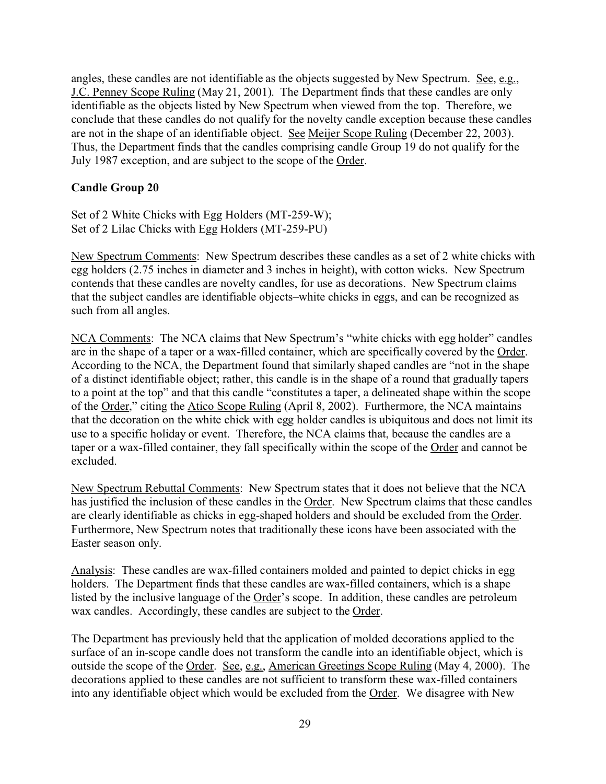angles, these candles are not identifiable as the objects suggested by New Spectrum. See, e.g., J.C. Penney Scope Ruling (May 21, 2001). The Department finds that these candles are only identifiable as the objects listed by New Spectrum when viewed from the top. Therefore, we conclude that these candles do not qualify for the novelty candle exception because these candles are not in the shape of an identifiable object. See Meijer Scope Ruling (December 22, 2003). Thus, the Department finds that the candles comprising candle Group 19 do not qualify for the July 1987 exception, and are subject to the scope of the Order.

#### **Candle Group 20**

Set of 2 White Chicks with Egg Holders (MT-259-W); Set of 2 Lilac Chicks with Egg Holders (MT-259-PU)

New Spectrum Comments: New Spectrum describes these candles as a set of 2 white chicks with egg holders (2.75 inches in diameter and 3 inches in height), with cotton wicks. New Spectrum contends that these candles are novelty candles, for use as decorations. New Spectrum claims that the subject candles are identifiable objects–white chicks in eggs, and can be recognized as such from all angles.

NCA Comments: The NCA claims that New Spectrum's "white chicks with egg holder" candles are in the shape of a taper or a wax-filled container, which are specifically covered by the Order. According to the NCA, the Department found that similarly shaped candles are "not in the shape of a distinct identifiable object; rather, this candle is in the shape of a round that gradually tapers to a point at the top" and that this candle "constitutes a taper, a delineated shape within the scope of the Order," citing the Atico Scope Ruling (April 8, 2002). Furthermore, the NCA maintains that the decoration on the white chick with egg holder candles is ubiquitous and does not limit its use to a specific holiday or event. Therefore, the NCA claims that, because the candles are a taper or a wax-filled container, they fall specifically within the scope of the Order and cannot be excluded.

New Spectrum Rebuttal Comments: New Spectrum states that it does not believe that the NCA has justified the inclusion of these candles in the Order. New Spectrum claims that these candles are clearly identifiable as chicks in egg-shaped holders and should be excluded from the Order. Furthermore, New Spectrum notes that traditionally these icons have been associated with the Easter season only.

Analysis: These candles are wax-filled containers molded and painted to depict chicks in egg holders. The Department finds that these candles are wax-filled containers, which is a shape listed by the inclusive language of the Order's scope. In addition, these candles are petroleum wax candles. Accordingly, these candles are subject to the Order.

The Department has previously held that the application of molded decorations applied to the surface of an in-scope candle does not transform the candle into an identifiable object, which is outside the scope of the Order. See, e.g., American Greetings Scope Ruling (May 4, 2000). The decorations applied to these candles are not sufficient to transform these wax-filled containers into any identifiable object which would be excluded from the Order. We disagree with New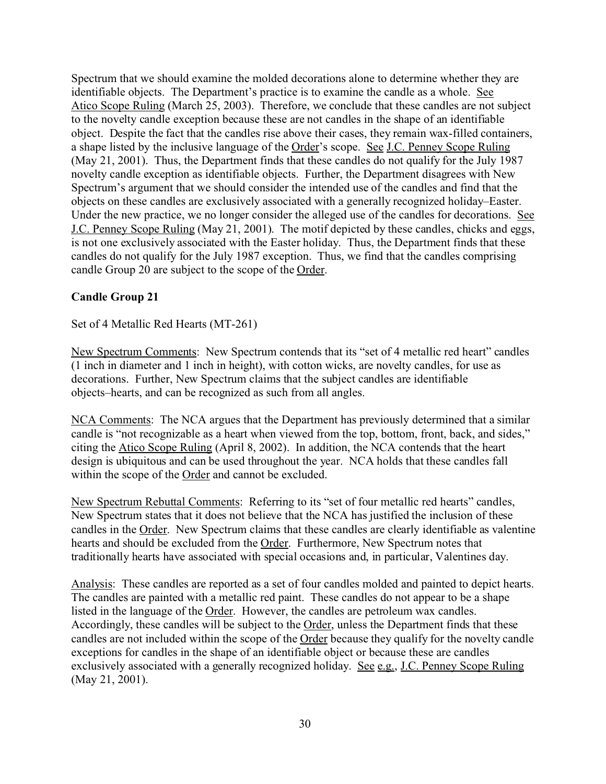Spectrum that we should examine the molded decorations alone to determine whether they are identifiable objects. The Department's practice is to examine the candle as a whole. See Atico Scope Ruling (March 25, 2003). Therefore, we conclude that these candles are not subject to the novelty candle exception because these are not candles in the shape of an identifiable object. Despite the fact that the candles rise above their cases, they remain wax-filled containers, a shape listed by the inclusive language of the Order's scope. See J.C. Penney Scope Ruling (May 21, 2001). Thus, the Department finds that these candles do not qualify for the July 1987 novelty candle exception as identifiable objects. Further, the Department disagrees with New Spectrum's argument that we should consider the intended use of the candles and find that the objects on these candles are exclusively associated with a generally recognized holiday–Easter. Under the new practice, we no longer consider the alleged use of the candles for decorations. See J.C. Penney Scope Ruling (May 21, 2001). The motif depicted by these candles, chicks and eggs, is not one exclusively associated with the Easter holiday. Thus, the Department finds that these candles do not qualify for the July 1987 exception. Thus, we find that the candles comprising candle Group 20 are subject to the scope of the Order.

#### **Candle Group 21**

Set of 4 Metallic Red Hearts (MT-261)

New Spectrum Comments: New Spectrum contends that its "set of 4 metallic red heart" candles (1 inch in diameter and 1 inch in height), with cotton wicks, are novelty candles, for use as decorations. Further, New Spectrum claims that the subject candles are identifiable objects–hearts, and can be recognized as such from all angles.

NCA Comments: The NCA argues that the Department has previously determined that a similar candle is "not recognizable as a heart when viewed from the top, bottom, front, back, and sides," citing the Atico Scope Ruling (April 8, 2002). In addition, the NCA contends that the heart design is ubiquitous and can be used throughout the year. NCA holds that these candles fall within the scope of the Order and cannot be excluded.

New Spectrum Rebuttal Comments: Referring to its "set of four metallic red hearts" candles, New Spectrum states that it does not believe that the NCA has justified the inclusion of these candles in the Order. New Spectrum claims that these candles are clearly identifiable as valentine hearts and should be excluded from the Order. Furthermore, New Spectrum notes that traditionally hearts have associated with special occasions and, in particular, Valentines day.

Analysis: These candles are reported as a set of four candles molded and painted to depict hearts. The candles are painted with a metallic red paint. These candles do not appear to be a shape listed in the language of the Order. However, the candles are petroleum wax candles. Accordingly, these candles will be subject to the Order, unless the Department finds that these candles are not included within the scope of the Order because they qualify for the novelty candle exceptions for candles in the shape of an identifiable object or because these are candles exclusively associated with a generally recognized holiday. See e.g., J.C. Penney Scope Ruling (May 21, 2001).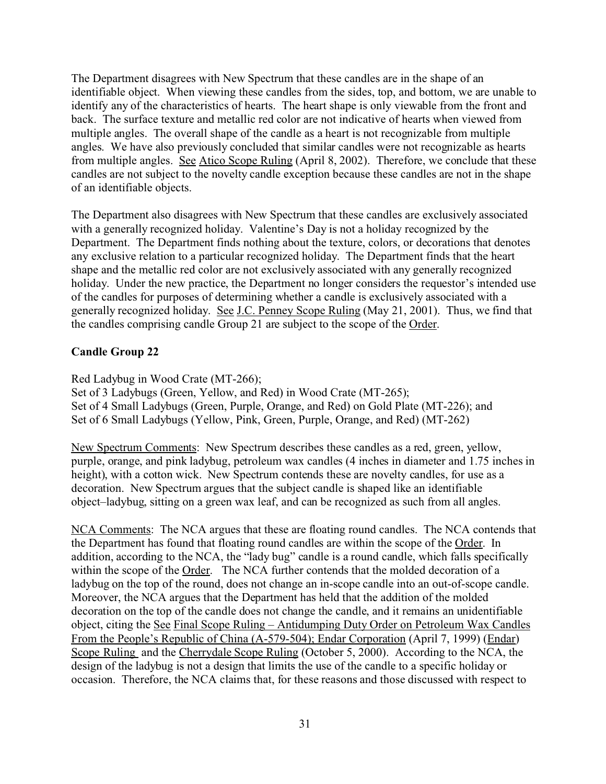The Department disagrees with New Spectrum that these candles are in the shape of an identifiable object. When viewing these candles from the sides, top, and bottom, we are unable to identify any of the characteristics of hearts. The heart shape is only viewable from the front and back. The surface texture and metallic red color are not indicative of hearts when viewed from multiple angles. The overall shape of the candle as a heart is not recognizable from multiple angles. We have also previously concluded that similar candles were not recognizable as hearts from multiple angles. See Atico Scope Ruling (April 8, 2002). Therefore, we conclude that these candles are not subject to the novelty candle exception because these candles are not in the shape of an identifiable objects.

The Department also disagrees with New Spectrum that these candles are exclusively associated with a generally recognized holiday. Valentine's Day is not a holiday recognized by the Department. The Department finds nothing about the texture, colors, or decorations that denotes any exclusive relation to a particular recognized holiday. The Department finds that the heart shape and the metallic red color are not exclusively associated with any generally recognized holiday. Under the new practice, the Department no longer considers the requestor's intended use of the candles for purposes of determining whether a candle is exclusively associated with a generally recognized holiday. See J.C. Penney Scope Ruling (May 21, 2001). Thus, we find that the candles comprising candle Group 21 are subject to the scope of the Order.

## **Candle Group 22**

Red Ladybug in Wood Crate (MT-266);

Set of 3 Ladybugs (Green, Yellow, and Red) in Wood Crate (MT-265); Set of 4 Small Ladybugs (Green, Purple, Orange, and Red) on Gold Plate (MT-226); and Set of 6 Small Ladybugs (Yellow, Pink, Green, Purple, Orange, and Red) (MT-262)

New Spectrum Comments: New Spectrum describes these candles as a red, green, yellow, purple, orange, and pink ladybug, petroleum wax candles (4 inches in diameter and 1.75 inches in height), with a cotton wick. New Spectrum contends these are novelty candles, for use as a decoration. New Spectrum argues that the subject candle is shaped like an identifiable object–ladybug, sitting on a green wax leaf, and can be recognized as such from all angles.

NCA Comments: The NCA argues that these are floating round candles. The NCA contends that the Department has found that floating round candles are within the scope of the Order. In addition, according to the NCA, the "lady bug" candle is a round candle, which falls specifically within the scope of the Order. The NCA further contends that the molded decoration of a ladybug on the top of the round, does not change an in-scope candle into an out-of-scope candle. Moreover, the NCA argues that the Department has held that the addition of the molded decoration on the top of the candle does not change the candle, and it remains an unidentifiable object, citing the See Final Scope Ruling – Antidumping Duty Order on Petroleum Wax Candles From the People's Republic of China (A-579-504); Endar Corporation (April 7, 1999) (Endar) Scope Ruling and the Cherrydale Scope Ruling (October 5, 2000). According to the NCA, the design of the ladybug is not a design that limits the use of the candle to a specific holiday or occasion. Therefore, the NCA claims that, for these reasons and those discussed with respect to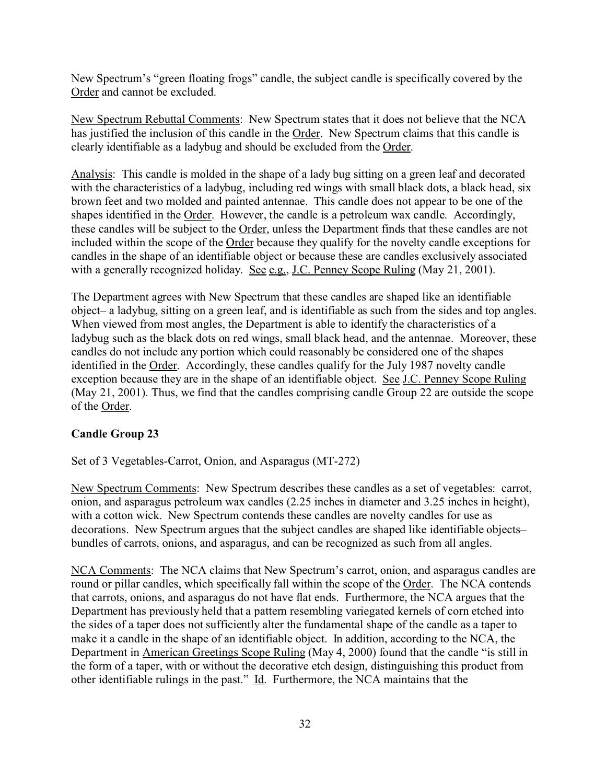New Spectrum's "green floating frogs" candle, the subject candle is specifically covered by the Order and cannot be excluded.

New Spectrum Rebuttal Comments: New Spectrum states that it does not believe that the NCA has justified the inclusion of this candle in the Order. New Spectrum claims that this candle is clearly identifiable as a ladybug and should be excluded from the Order.

Analysis: This candle is molded in the shape of a lady bug sitting on a green leaf and decorated with the characteristics of a ladybug, including red wings with small black dots, a black head, six brown feet and two molded and painted antennae. This candle does not appear to be one of the shapes identified in the Order. However, the candle is a petroleum wax candle. Accordingly, these candles will be subject to the Order, unless the Department finds that these candles are not included within the scope of the Order because they qualify for the novelty candle exceptions for candles in the shape of an identifiable object or because these are candles exclusively associated with a generally recognized holiday. See e.g., J.C. Penney Scope Ruling (May 21, 2001).

The Department agrees with New Spectrum that these candles are shaped like an identifiable object– a ladybug, sitting on a green leaf, and is identifiable as such from the sides and top angles. When viewed from most angles, the Department is able to identify the characteristics of a ladybug such as the black dots on red wings, small black head, and the antennae. Moreover, these candles do not include any portion which could reasonably be considered one of the shapes identified in the Order. Accordingly, these candles qualify for the July 1987 novelty candle exception because they are in the shape of an identifiable object. See J.C. Penney Scope Ruling (May 21, 2001). Thus, we find that the candles comprising candle Group 22 are outside the scope of the Order.

## **Candle Group 23**

Set of 3 Vegetables-Carrot, Onion, and Asparagus (MT-272)

New Spectrum Comments: New Spectrum describes these candles as a set of vegetables: carrot, onion, and asparagus petroleum wax candles (2.25 inches in diameter and 3.25 inches in height), with a cotton wick. New Spectrum contends these candles are novelty candles for use as decorations. New Spectrum argues that the subject candles are shaped like identifiable objects– bundles of carrots, onions, and asparagus, and can be recognized as such from all angles.

NCA Comments: The NCA claims that New Spectrum's carrot, onion, and asparagus candles are round or pillar candles, which specifically fall within the scope of the Order. The NCA contends that carrots, onions, and asparagus do not have flat ends. Furthermore, the NCA argues that the Department has previously held that a pattern resembling variegated kernels of corn etched into the sides of a taper does not sufficiently alter the fundamental shape of the candle as a taper to make it a candle in the shape of an identifiable object. In addition, according to the NCA, the Department in American Greetings Scope Ruling (May 4, 2000) found that the candle "is still in the form of a taper, with or without the decorative etch design, distinguishing this product from other identifiable rulings in the past." Id. Furthermore, the NCA maintains that the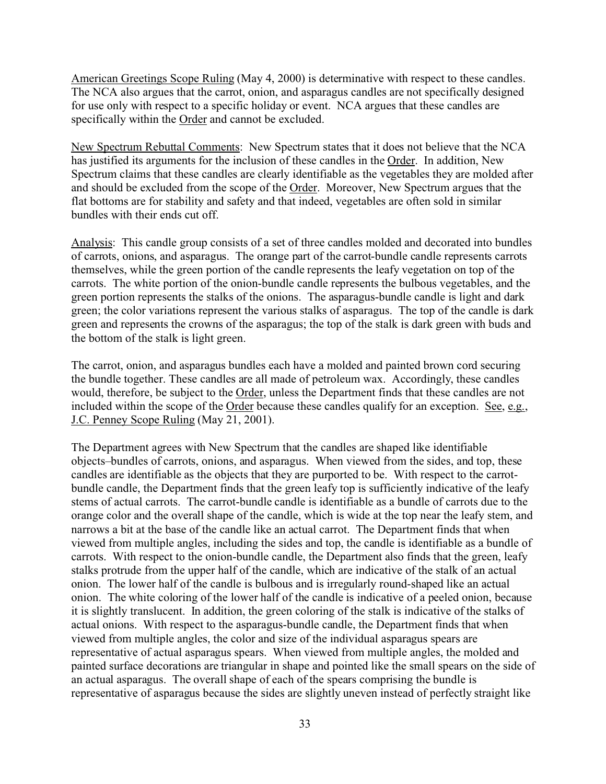American Greetings Scope Ruling (May 4, 2000) is determinative with respect to these candles. The NCA also argues that the carrot, onion, and asparagus candles are not specifically designed for use only with respect to a specific holiday or event. NCA argues that these candles are specifically within the Order and cannot be excluded.

New Spectrum Rebuttal Comments: New Spectrum states that it does not believe that the NCA has justified its arguments for the inclusion of these candles in the Order. In addition, New Spectrum claims that these candles are clearly identifiable as the vegetables they are molded after and should be excluded from the scope of the Order. Moreover, New Spectrum argues that the flat bottoms are for stability and safety and that indeed, vegetables are often sold in similar bundles with their ends cut off.

Analysis: This candle group consists of a set of three candles molded and decorated into bundles of carrots, onions, and asparagus. The orange part of the carrot-bundle candle represents carrots themselves, while the green portion of the candle represents the leafy vegetation on top of the carrots. The white portion of the onion-bundle candle represents the bulbous vegetables, and the green portion represents the stalks of the onions. The asparagus-bundle candle is light and dark green; the color variations represent the various stalks of asparagus. The top of the candle is dark green and represents the crowns of the asparagus; the top of the stalk is dark green with buds and the bottom of the stalk is light green.

The carrot, onion, and asparagus bundles each have a molded and painted brown cord securing the bundle together. These candles are all made of petroleum wax. Accordingly, these candles would, therefore, be subject to the Order, unless the Department finds that these candles are not included within the scope of the Order because these candles qualify for an exception. See, e.g., J.C. Penney Scope Ruling (May 21, 2001).

The Department agrees with New Spectrum that the candles are shaped like identifiable objects–bundles of carrots, onions, and asparagus. When viewed from the sides, and top, these candles are identifiable as the objects that they are purported to be. With respect to the carrotbundle candle, the Department finds that the green leafy top is sufficiently indicative of the leafy stems of actual carrots. The carrot-bundle candle is identifiable as a bundle of carrots due to the orange color and the overall shape of the candle, which is wide at the top near the leafy stem, and narrows a bit at the base of the candle like an actual carrot. The Department finds that when viewed from multiple angles, including the sides and top, the candle is identifiable as a bundle of carrots. With respect to the onion-bundle candle, the Department also finds that the green, leafy stalks protrude from the upper half of the candle, which are indicative of the stalk of an actual onion. The lower half of the candle is bulbous and is irregularly round-shaped like an actual onion. The white coloring of the lower half of the candle is indicative of a peeled onion, because it is slightly translucent. In addition, the green coloring of the stalk is indicative of the stalks of actual onions. With respect to the asparagus-bundle candle, the Department finds that when viewed from multiple angles, the color and size of the individual asparagus spears are representative of actual asparagus spears. When viewed from multiple angles, the molded and painted surface decorations are triangular in shape and pointed like the small spears on the side of an actual asparagus. The overall shape of each of the spears comprising the bundle is representative of asparagus because the sides are slightly uneven instead of perfectly straight like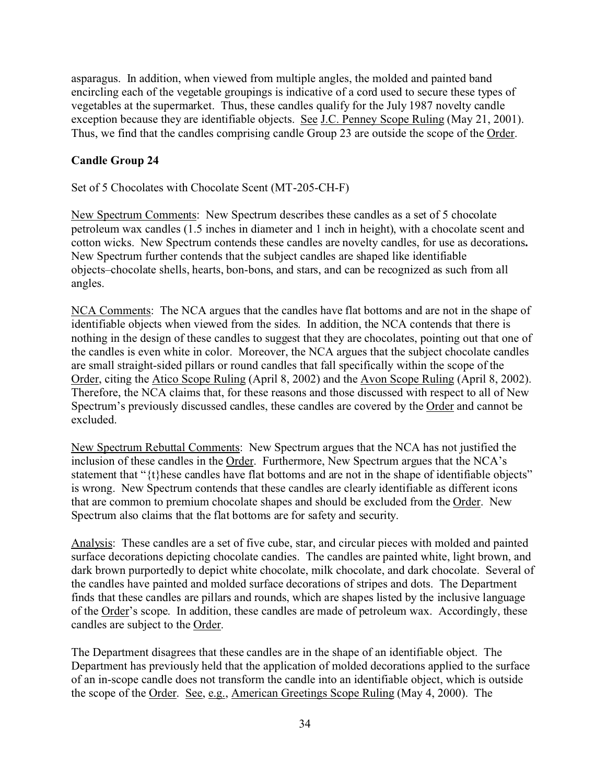asparagus. In addition, when viewed from multiple angles, the molded and painted band encircling each of the vegetable groupings is indicative of a cord used to secure these types of vegetables at the supermarket. Thus, these candles qualify for the July 1987 novelty candle exception because they are identifiable objects. See J.C. Penney Scope Ruling (May 21, 2001). Thus, we find that the candles comprising candle Group 23 are outside the scope of the Order.

#### **Candle Group 24**

Set of 5 Chocolates with Chocolate Scent (MT-205-CH-F)

New Spectrum Comments: New Spectrum describes these candles as a set of 5 chocolate petroleum wax candles (1.5 inches in diameter and 1 inch in height), with a chocolate scent and cotton wicks. New Spectrum contends these candles are novelty candles, for use as decorations**.**  New Spectrum further contends that the subject candles are shaped like identifiable objects–chocolate shells, hearts, bon-bons, and stars, and can be recognized as such from all angles.

NCA Comments: The NCA argues that the candles have flat bottoms and are not in the shape of identifiable objects when viewed from the sides. In addition, the NCA contends that there is nothing in the design of these candles to suggest that they are chocolates, pointing out that one of the candles is even white in color. Moreover, the NCA argues that the subject chocolate candles are small straight-sided pillars or round candles that fall specifically within the scope of the Order, citing the Atico Scope Ruling (April 8, 2002) and the Avon Scope Ruling (April 8, 2002). Therefore, the NCA claims that, for these reasons and those discussed with respect to all of New Spectrum's previously discussed candles, these candles are covered by the Order and cannot be excluded.

New Spectrum Rebuttal Comments: New Spectrum argues that the NCA has not justified the inclusion of these candles in the Order. Furthermore, New Spectrum argues that the NCA's statement that "{t}hese candles have flat bottoms and are not in the shape of identifiable objects" is wrong. New Spectrum contends that these candles are clearly identifiable as different icons that are common to premium chocolate shapes and should be excluded from the Order. New Spectrum also claims that the flat bottoms are for safety and security.

Analysis: These candles are a set of five cube, star, and circular pieces with molded and painted surface decorations depicting chocolate candies. The candles are painted white, light brown, and dark brown purportedly to depict white chocolate, milk chocolate, and dark chocolate. Several of the candles have painted and molded surface decorations of stripes and dots. The Department finds that these candles are pillars and rounds, which are shapes listed by the inclusive language of the Order's scope. In addition, these candles are made of petroleum wax. Accordingly, these candles are subject to the Order.

The Department disagrees that these candles are in the shape of an identifiable object. The Department has previously held that the application of molded decorations applied to the surface of an in-scope candle does not transform the candle into an identifiable object, which is outside the scope of the Order. See, e.g., American Greetings Scope Ruling (May 4, 2000). The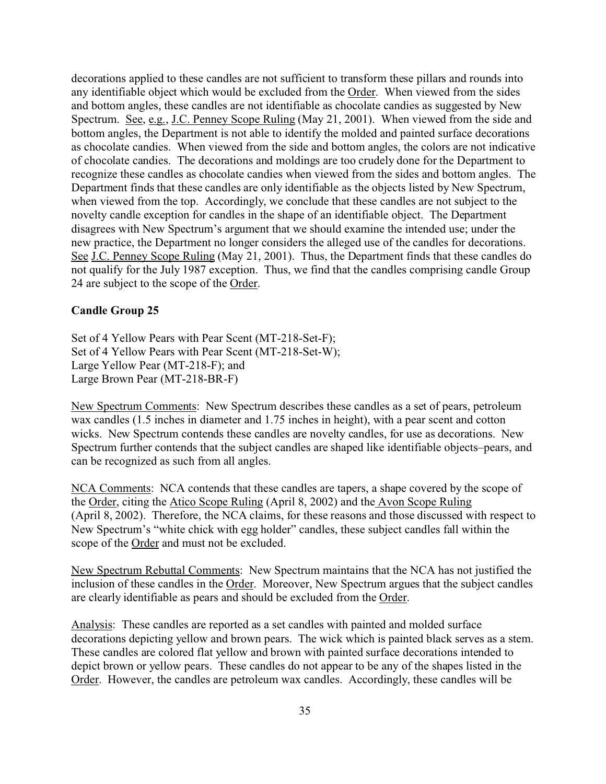decorations applied to these candles are not sufficient to transform these pillars and rounds into any identifiable object which would be excluded from the Order. When viewed from the sides and bottom angles, these candles are not identifiable as chocolate candies as suggested by New Spectrum. See, e.g., J.C. Penney Scope Ruling (May 21, 2001). When viewed from the side and bottom angles, the Department is not able to identify the molded and painted surface decorations as chocolate candies. When viewed from the side and bottom angles, the colors are not indicative of chocolate candies. The decorations and moldings are too crudely done for the Department to recognize these candles as chocolate candies when viewed from the sides and bottom angles. The Department finds that these candles are only identifiable as the objects listed by New Spectrum, when viewed from the top. Accordingly, we conclude that these candles are not subject to the novelty candle exception for candles in the shape of an identifiable object. The Department disagrees with New Spectrum's argument that we should examine the intended use; under the new practice, the Department no longer considers the alleged use of the candles for decorations. See J.C. Penney Scope Ruling (May 21, 2001). Thus, the Department finds that these candles do not qualify for the July 1987 exception. Thus, we find that the candles comprising candle Group 24 are subject to the scope of the Order.

#### **Candle Group 25**

Set of 4 Yellow Pears with Pear Scent (MT-218-Set-F); Set of 4 Yellow Pears with Pear Scent (MT-218-Set-W); Large Yellow Pear (MT-218-F); and Large Brown Pear (MT-218-BR-F)

New Spectrum Comments: New Spectrum describes these candles as a set of pears, petroleum wax candles (1.5 inches in diameter and 1.75 inches in height), with a pear scent and cotton wicks. New Spectrum contends these candles are novelty candles, for use as decorations.New Spectrum further contends that the subject candles are shaped like identifiable objects–pears, and can be recognized as such from all angles.

NCA Comments: NCA contends that these candles are tapers, a shape covered by the scope of the Order, citing the Atico Scope Ruling (April 8, 2002) and the Avon Scope Ruling (April 8, 2002). Therefore, the NCA claims, for these reasons and those discussed with respect to New Spectrum's "white chick with egg holder" candles, these subject candles fall within the scope of the Order and must not be excluded.

New Spectrum Rebuttal Comments: New Spectrum maintains that the NCA has not justified the inclusion of these candles in the Order. Moreover, New Spectrum argues that the subject candles are clearly identifiable as pears and should be excluded from the Order.

Analysis: These candles are reported as a set candles with painted and molded surface decorations depicting yellow and brown pears. The wick which is painted black serves as a stem. These candles are colored flat yellow and brown with painted surface decorations intended to depict brown or yellow pears. These candles do not appear to be any of the shapes listed in the Order. However, the candles are petroleum wax candles. Accordingly, these candles will be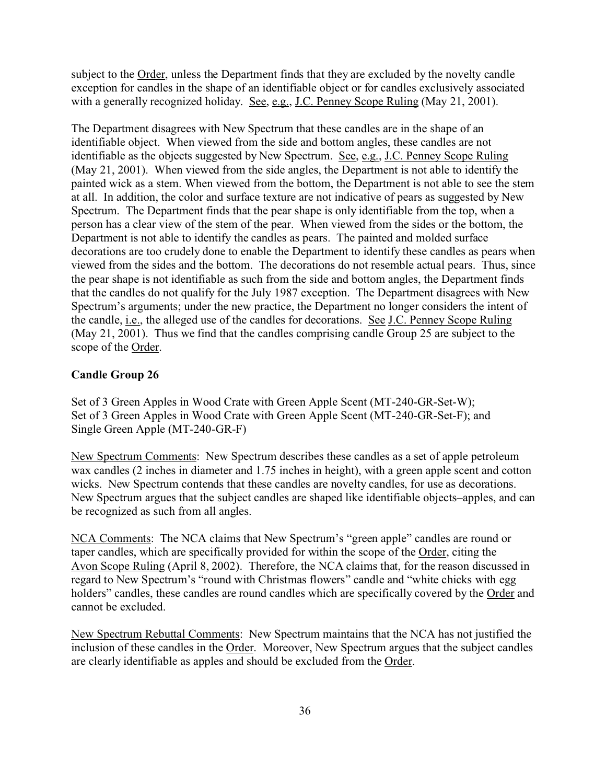subject to the Order, unless the Department finds that they are excluded by the novelty candle exception for candles in the shape of an identifiable object or for candles exclusively associated with a generally recognized holiday. See, e.g., J.C. Penney Scope Ruling (May 21, 2001).

The Department disagrees with New Spectrum that these candles are in the shape of an identifiable object. When viewed from the side and bottom angles, these candles are not identifiable as the objects suggested by New Spectrum. See, e.g., J.C. Penney Scope Ruling (May 21, 2001). When viewed from the side angles, the Department is not able to identify the painted wick as a stem. When viewed from the bottom, the Department is not able to see the stem at all. In addition, the color and surface texture are not indicative of pears as suggested by New Spectrum. The Department finds that the pear shape is only identifiable from the top, when a person has a clear view of the stem of the pear. When viewed from the sides or the bottom, the Department is not able to identify the candles as pears. The painted and molded surface decorations are too crudely done to enable the Department to identify these candles as pears when viewed from the sides and the bottom. The decorations do not resemble actual pears. Thus, since the pear shape is not identifiable as such from the side and bottom angles, the Department finds that the candles do not qualify for the July 1987 exception. The Department disagrees with New Spectrum's arguments; under the new practice, the Department no longer considers the intent of the candle, *i.e.*, the alleged use of the candles for decorations. See J.C. Penney Scope Ruling (May 21, 2001). Thus we find that the candles comprising candle Group 25 are subject to the scope of the Order.

#### **Candle Group 26**

Set of 3 Green Apples in Wood Crate with Green Apple Scent (MT-240-GR-Set-W); Set of 3 Green Apples in Wood Crate with Green Apple Scent (MT-240-GR-Set-F); and Single Green Apple (MT-240-GR-F)

New Spectrum Comments: New Spectrum describes these candles as a set of apple petroleum wax candles (2 inches in diameter and 1.75 inches in height), with a green apple scent and cotton wicks. New Spectrum contends that these candles are novelty candles, for use as decorations. New Spectrum argues that the subject candles are shaped like identifiable objects–apples, and can be recognized as such from all angles.

NCA Comments: The NCA claims that New Spectrum's "green apple" candles are round or taper candles, which are specifically provided for within the scope of the Order, citing the Avon Scope Ruling (April 8, 2002). Therefore, the NCA claims that, for the reason discussed in regard to New Spectrum's "round with Christmas flowers" candle and "white chicks with egg holders" candles, these candles are round candles which are specifically covered by the Order and cannot be excluded.

New Spectrum Rebuttal Comments: New Spectrum maintains that the NCA has not justified the inclusion of these candles in the Order. Moreover, New Spectrum argues that the subject candles are clearly identifiable as apples and should be excluded from the Order.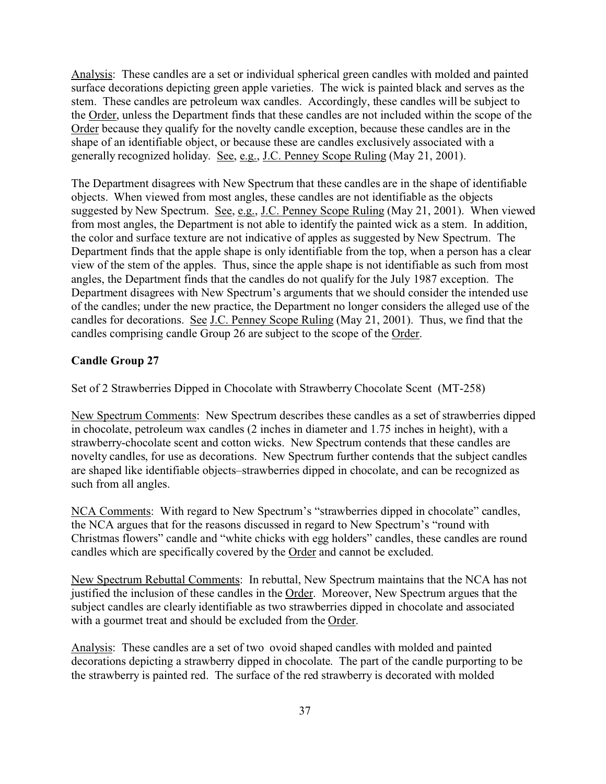Analysis: These candles are a set or individual spherical green candles with molded and painted surface decorations depicting green apple varieties. The wick is painted black and serves as the stem. These candles are petroleum wax candles. Accordingly, these candles will be subject to the Order, unless the Department finds that these candles are not included within the scope of the Order because they qualify for the novelty candle exception, because these candles are in the shape of an identifiable object, or because these are candles exclusively associated with a generally recognized holiday. See, e.g., J.C. Penney Scope Ruling (May 21, 2001).

The Department disagrees with New Spectrum that these candles are in the shape of identifiable objects. When viewed from most angles, these candles are not identifiable as the objects suggested by New Spectrum. See, e.g., J.C. Penney Scope Ruling (May 21, 2001). When viewed from most angles, the Department is not able to identify the painted wick as a stem. In addition, the color and surface texture are not indicative of apples as suggested by New Spectrum. The Department finds that the apple shape is only identifiable from the top, when a person has a clear view of the stem of the apples. Thus, since the apple shape is not identifiable as such from most angles, the Department finds that the candles do not qualify for the July 1987 exception. The Department disagrees with New Spectrum's arguments that we should consider the intended use of the candles; under the new practice, the Department no longer considers the alleged use of the candles for decorations. See J.C. Penney Scope Ruling (May 21, 2001). Thus, we find that the candles comprising candle Group 26 are subject to the scope of the Order.

#### **Candle Group 27**

Set of 2 Strawberries Dipped in Chocolate with Strawberry Chocolate Scent (MT-258)

New Spectrum Comments: New Spectrum describes these candles as a set of strawberries dipped in chocolate, petroleum wax candles (2 inches in diameter and 1.75 inches in height), with a strawberry-chocolate scent and cotton wicks. New Spectrum contends that these candles are novelty candles, for use as decorations.New Spectrum further contends that the subject candles are shaped like identifiable objects–strawberries dipped in chocolate, and can be recognized as such from all angles.

NCA Comments: With regard to New Spectrum's "strawberries dipped in chocolate" candles, the NCA argues that for the reasons discussed in regard to New Spectrum's "round with Christmas flowers" candle and "white chicks with egg holders" candles, these candles are round candles which are specifically covered by the Order and cannot be excluded.

New Spectrum Rebuttal Comments: In rebuttal, New Spectrum maintains that the NCA has not justified the inclusion of these candles in the Order. Moreover, New Spectrum argues that the subject candles are clearly identifiable as two strawberries dipped in chocolate and associated with a gourmet treat and should be excluded from the Order.

Analysis: These candles are a set of two ovoid shaped candles with molded and painted decorations depicting a strawberry dipped in chocolate. The part of the candle purporting to be the strawberry is painted red. The surface of the red strawberry is decorated with molded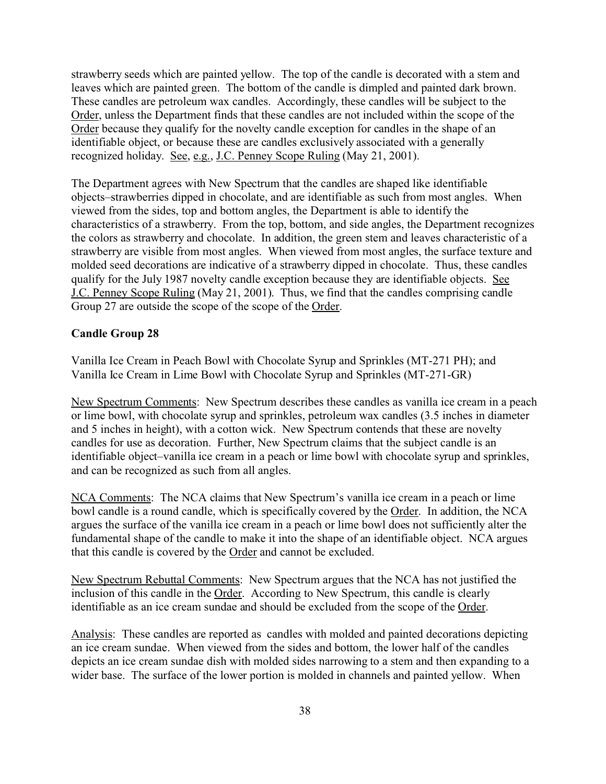strawberry seeds which are painted yellow. The top of the candle is decorated with a stem and leaves which are painted green. The bottom of the candle is dimpled and painted dark brown. These candles are petroleum wax candles. Accordingly, these candles will be subject to the Order, unless the Department finds that these candles are not included within the scope of the Order because they qualify for the novelty candle exception for candles in the shape of an identifiable object, or because these are candles exclusively associated with a generally recognized holiday. See, e.g., J.C. Penney Scope Ruling (May 21, 2001).

The Department agrees with New Spectrum that the candles are shaped like identifiable objects–strawberries dipped in chocolate, and are identifiable as such from most angles. When viewed from the sides, top and bottom angles, the Department is able to identify the characteristics of a strawberry. From the top, bottom, and side angles, the Department recognizes the colors as strawberry and chocolate. In addition, the green stem and leaves characteristic of a strawberry are visible from most angles. When viewed from most angles, the surface texture and molded seed decorations are indicative of a strawberry dipped in chocolate. Thus, these candles qualify for the July 1987 novelty candle exception because they are identifiable objects. See J.C. Penney Scope Ruling (May 21, 2001). Thus, we find that the candles comprising candle Group 27 are outside the scope of the scope of the Order.

#### **Candle Group 28**

Vanilla Ice Cream in Peach Bowl with Chocolate Syrup and Sprinkles (MT-271 PH); and Vanilla Ice Cream in Lime Bowl with Chocolate Syrup and Sprinkles (MT-271-GR)

New Spectrum Comments: New Spectrum describes these candles as vanilla ice cream in a peach or lime bowl, with chocolate syrup and sprinkles, petroleum wax candles (3.5 inches in diameter and 5 inches in height), with a cotton wick. New Spectrum contends that these are novelty candles for use as decoration. Further, New Spectrum claims that the subject candle is an identifiable object–vanilla ice cream in a peach or lime bowl with chocolate syrup and sprinkles, and can be recognized as such from all angles.

NCA Comments: The NCA claims that New Spectrum's vanilla ice cream in a peach or lime bowl candle is a round candle, which is specifically covered by the Order. In addition, the NCA argues the surface of the vanilla ice cream in a peach or lime bowl does not sufficiently alter the fundamental shape of the candle to make it into the shape of an identifiable object. NCA argues that this candle is covered by the Order and cannot be excluded.

New Spectrum Rebuttal Comments: New Spectrum argues that the NCA has not justified the inclusion of this candle in the Order. According to New Spectrum, this candle is clearly identifiable as an ice cream sundae and should be excluded from the scope of the Order.

Analysis: These candles are reported as candles with molded and painted decorations depicting an ice cream sundae. When viewed from the sides and bottom, the lower half of the candles depicts an ice cream sundae dish with molded sides narrowing to a stem and then expanding to a wider base. The surface of the lower portion is molded in channels and painted yellow. When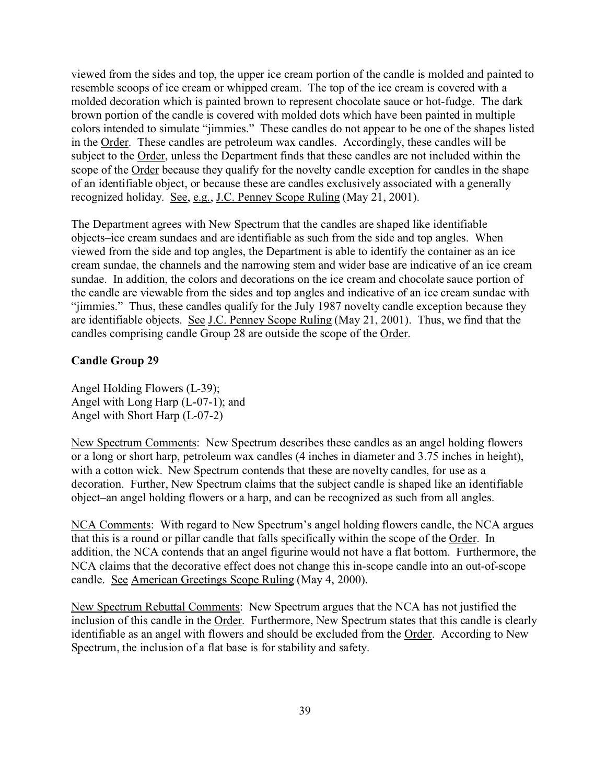viewed from the sides and top, the upper ice cream portion of the candle is molded and painted to resemble scoops of ice cream or whipped cream. The top of the ice cream is covered with a molded decoration which is painted brown to represent chocolate sauce or hot-fudge. The dark brown portion of the candle is covered with molded dots which have been painted in multiple colors intended to simulate "jimmies." These candles do not appear to be one of the shapes listed in the Order. These candles are petroleum wax candles. Accordingly, these candles will be subject to the Order, unless the Department finds that these candles are not included within the scope of the Order because they qualify for the novelty candle exception for candles in the shape of an identifiable object, or because these are candles exclusively associated with a generally recognized holiday. See, e.g., J.C. Penney Scope Ruling (May 21, 2001).

The Department agrees with New Spectrum that the candles are shaped like identifiable objects–ice cream sundaes and are identifiable as such from the side and top angles. When viewed from the side and top angles, the Department is able to identify the container as an ice cream sundae, the channels and the narrowing stem and wider base are indicative of an ice cream sundae. In addition, the colors and decorations on the ice cream and chocolate sauce portion of the candle are viewable from the sides and top angles and indicative of an ice cream sundae with "jimmies." Thus, these candles qualify for the July 1987 novelty candle exception because they are identifiable objects. See J.C. Penney Scope Ruling (May 21, 2001). Thus, we find that the candles comprising candle Group 28 are outside the scope of the Order.

#### **Candle Group 29**

Angel Holding Flowers (L-39); Angel with Long Harp (L-07-1); and Angel with Short Harp (L-07-2)

New Spectrum Comments: New Spectrum describes these candles as an angel holding flowers or a long or short harp, petroleum wax candles (4 inches in diameter and 3.75 inches in height), with a cotton wick. New Spectrum contends that these are novelty candles, for use as a decoration. Further, New Spectrum claims that the subject candle is shaped like an identifiable object–an angel holding flowers or a harp, and can be recognized as such from all angles.

NCA Comments: With regard to New Spectrum's angel holding flowers candle, the NCA argues that this is a round or pillar candle that falls specifically within the scope of the Order. In addition, the NCA contends that an angel figurine would not have a flat bottom. Furthermore, the NCA claims that the decorative effect does not change this in-scope candle into an out-of-scope candle. See American Greetings Scope Ruling (May 4, 2000).

New Spectrum Rebuttal Comments: New Spectrum argues that the NCA has not justified the inclusion of this candle in the Order. Furthermore, New Spectrum states that this candle is clearly identifiable as an angel with flowers and should be excluded from the Order. According to New Spectrum, the inclusion of a flat base is for stability and safety.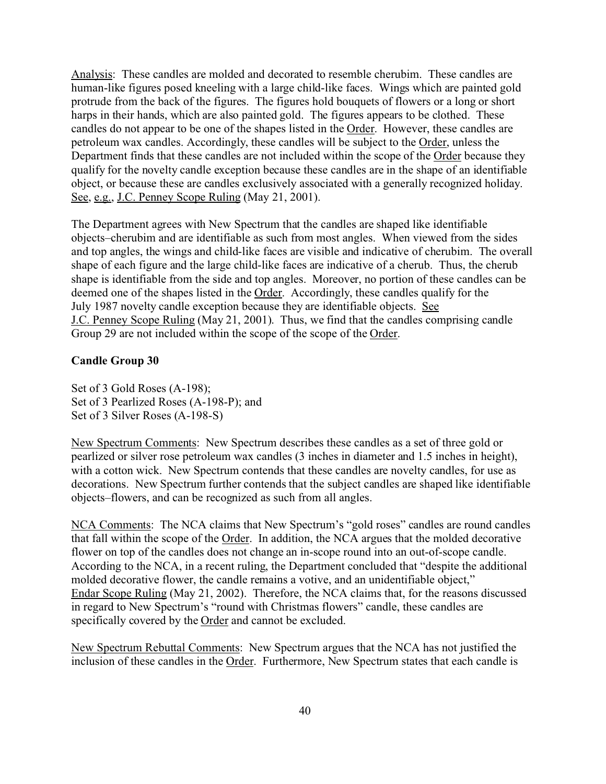Analysis: These candles are molded and decorated to resemble cherubim. These candles are human-like figures posed kneeling with a large child-like faces. Wings which are painted gold protrude from the back of the figures. The figures hold bouquets of flowers or a long or short harps in their hands, which are also painted gold. The figures appears to be clothed. These candles do not appear to be one of the shapes listed in the Order. However, these candles are petroleum wax candles. Accordingly, these candles will be subject to the Order, unless the Department finds that these candles are not included within the scope of the Order because they qualify for the novelty candle exception because these candles are in the shape of an identifiable object, or because these are candles exclusively associated with a generally recognized holiday. See, e.g., J.C. Penney Scope Ruling (May 21, 2001).

The Department agrees with New Spectrum that the candles are shaped like identifiable objects–cherubim and are identifiable as such from most angles. When viewed from the sides and top angles, the wings and child-like faces are visible and indicative of cherubim. The overall shape of each figure and the large child-like faces are indicative of a cherub. Thus, the cherub shape is identifiable from the side and top angles. Moreover, no portion of these candles can be deemed one of the shapes listed in the Order. Accordingly, these candles qualify for the July 1987 novelty candle exception because they are identifiable objects. See J.C. Penney Scope Ruling (May 21, 2001). Thus, we find that the candles comprising candle Group 29 are not included within the scope of the scope of the Order.

#### **Candle Group 30**

Set of 3 Gold Roses (A-198); Set of 3 Pearlized Roses (A-198-P); and Set of 3 Silver Roses (A-198-S)

New Spectrum Comments: New Spectrum describes these candles as a set of three gold or pearlized or silver rose petroleum wax candles (3 inches in diameter and 1.5 inches in height), with a cotton wick. New Spectrum contends that these candles are novelty candles, for use as decorations. New Spectrum further contends that the subject candles are shaped like identifiable objects–flowers, and can be recognized as such from all angles.

NCA Comments: The NCA claims that New Spectrum's "gold roses" candles are round candles that fall within the scope of the Order. In addition, the NCA argues that the molded decorative flower on top of the candles does not change an in-scope round into an out-of-scope candle. According to the NCA, in a recent ruling, the Department concluded that "despite the additional molded decorative flower, the candle remains a votive, and an unidentifiable object," Endar Scope Ruling (May 21, 2002). Therefore, the NCA claims that, for the reasons discussed in regard to New Spectrum's "round with Christmas flowers" candle, these candles are specifically covered by the Order and cannot be excluded.

New Spectrum Rebuttal Comments: New Spectrum argues that the NCA has not justified the inclusion of these candles in the Order. Furthermore, New Spectrum states that each candle is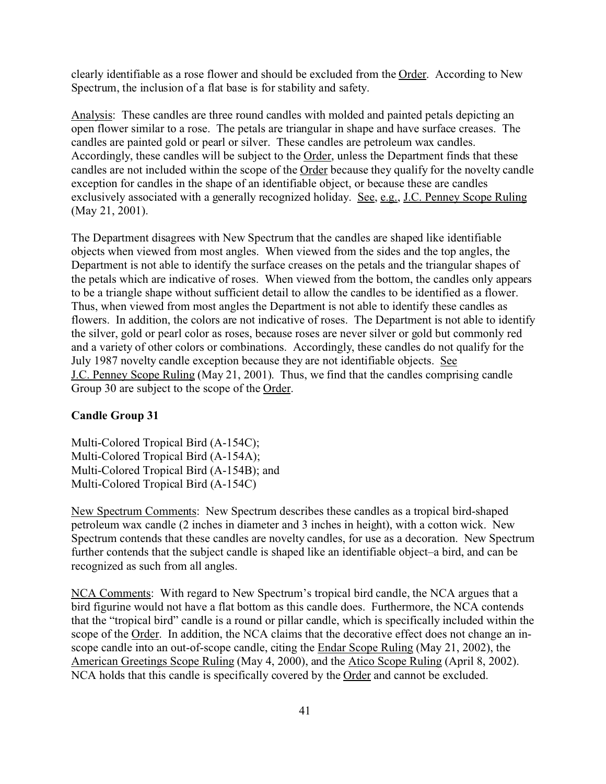clearly identifiable as a rose flower and should be excluded from the Order. According to New Spectrum, the inclusion of a flat base is for stability and safety.

Analysis: These candles are three round candles with molded and painted petals depicting an open flower similar to a rose. The petals are triangular in shape and have surface creases. The candles are painted gold or pearl or silver. These candles are petroleum wax candles. Accordingly, these candles will be subject to the Order, unless the Department finds that these candles are not included within the scope of the Order because they qualify for the novelty candle exception for candles in the shape of an identifiable object, or because these are candles exclusively associated with a generally recognized holiday. See, e.g., J.C. Penney Scope Ruling (May 21, 2001).

The Department disagrees with New Spectrum that the candles are shaped like identifiable objects when viewed from most angles. When viewed from the sides and the top angles, the Department is not able to identify the surface creases on the petals and the triangular shapes of the petals which are indicative of roses. When viewed from the bottom, the candles only appears to be a triangle shape without sufficient detail to allow the candles to be identified as a flower. Thus, when viewed from most angles the Department is not able to identify these candles as flowers. In addition, the colors are not indicative of roses. The Department is not able to identify the silver, gold or pearl color as roses, because roses are never silver or gold but commonly red and a variety of other colors or combinations. Accordingly, these candles do not qualify for the July 1987 novelty candle exception because they are not identifiable objects. See J.C. Penney Scope Ruling (May 21, 2001). Thus, we find that the candles comprising candle Group 30 are subject to the scope of the Order.

#### **Candle Group 31**

Multi-Colored Tropical Bird (A-154C); Multi-Colored Tropical Bird (A-154A); Multi-Colored Tropical Bird (A-154B); and Multi-Colored Tropical Bird (A-154C)

New Spectrum Comments: New Spectrum describes these candles as a tropical bird-shaped petroleum wax candle (2 inches in diameter and 3 inches in height), with a cotton wick. New Spectrum contends that these candles are novelty candles, for use as a decoration. New Spectrum further contends that the subject candle is shaped like an identifiable object–a bird, and can be recognized as such from all angles.

NCA Comments: With regard to New Spectrum's tropical bird candle, the NCA argues that a bird figurine would not have a flat bottom as this candle does. Furthermore, the NCA contends that the "tropical bird" candle is a round or pillar candle, which is specifically included within the scope of the Order. In addition, the NCA claims that the decorative effect does not change an inscope candle into an out-of-scope candle, citing the Endar Scope Ruling (May 21, 2002), the American Greetings Scope Ruling (May 4, 2000), and the Atico Scope Ruling (April 8, 2002). NCA holds that this candle is specifically covered by the Order and cannot be excluded.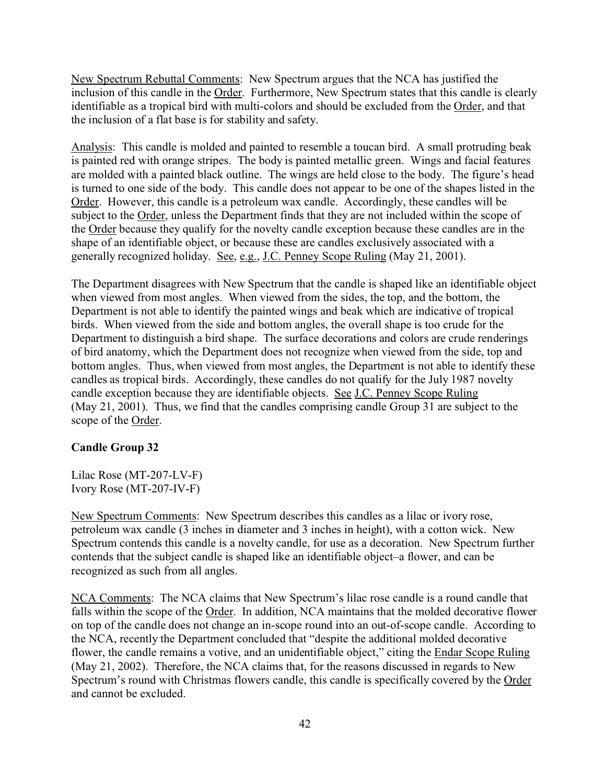New Spectrum Rebuttal Comments: New Spectrum argues that the NCA has justified the inclusion of this candle in the Order. Furthermore, New Spectrum states that this candle is clearly identifiable as a tropical bird with multi-colors and should be excluded from the Order, and that the inclusion of a flat base is for stability and safety.

Analysis: This candle is molded and painted to resemble a toucan bird. A small protruding beak is painted red with orange stripes. The body is painted metallic green. Wings and facial features are molded with a painted black outline. The wings are held close to the body. The figure's head is turned to one side of the body. This candle does not appear to be one of the shapes listed in the Order. However, this candle is a petroleum wax candle. Accordingly, these candles will be subject to the Order, unless the Department finds that they are not included within the scope of the Order because they qualify for the novelty candle exception because these candles are in the shape of an identifiable object, or because these are candles exclusively associated with a generally recognized holiday. See, e.g., J.C. Penney Scope Ruling (May 21, 2001).

The Department disagrees with New Spectrum that the candle is shaped like an identifiable object when viewed from most angles. When viewed from the sides, the top, and the bottom, the Department is not able to identify the painted wings and beak which are indicative of tropical birds. When viewed from the side and bottom angles, the overall shape is too crude for the Department to distinguish a bird shape. The surface decorations and colors are crude renderings of bird anatomy, which the Department does not recognize when viewed from the side, top and bottom angles. Thus, when viewed from most angles, the Department is not able to identify these candles as tropical birds. Accordingly, these candles do not qualify for the July 1987 novelty candle exception because they are identifiable objects. See J.C. Penney Scope Ruling (May 21, 2001). Thus, we find that the candles comprising candle Group 31 are subject to the scope of the Order.

## **Candle Group 32**

Lilac Rose (MT-207-LV-F) Ivory Rose (MT-207-IV-F)

New Spectrum Comments: New Spectrum describes this candles as a lilac or ivory rose, petroleum wax candle (3 inches in diameter and 3 inches in height), with a cotton wick. New Spectrum contends this candle is a novelty candle, for use as a decoration. New Spectrum further contends that the subject candle is shaped like an identifiable object–a flower, and can be recognized as such from all angles.

NCA Comments: The NCA claims that New Spectrum's lilac rose candle is a round candle that falls within the scope of the Order. In addition, NCA maintains that the molded decorative flower on top of the candle does not change an in-scope round into an out-of-scope candle. According to the NCA, recently the Department concluded that "despite the additional molded decorative flower, the candle remains a votive, and an unidentifiable object," citing the Endar Scope Ruling (May 21, 2002). Therefore, the NCA claims that, for the reasons discussed in regards to New Spectrum's round with Christmas flowers candle, this candle is specifically covered by the Order and cannot be excluded.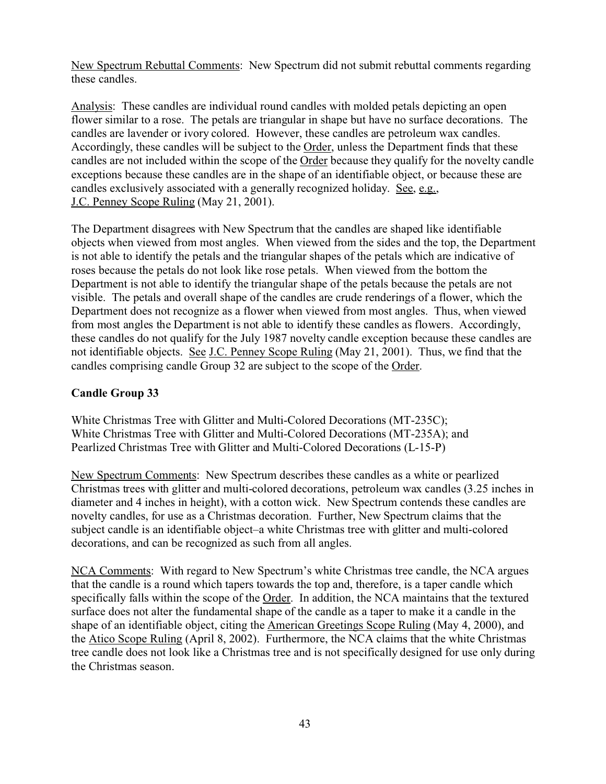New Spectrum Rebuttal Comments: New Spectrum did not submit rebuttal comments regarding these candles.

Analysis: These candles are individual round candles with molded petals depicting an open flower similar to a rose. The petals are triangular in shape but have no surface decorations. The candles are lavender or ivory colored. However, these candles are petroleum wax candles. Accordingly, these candles will be subject to the Order, unless the Department finds that these candles are not included within the scope of the Order because they qualify for the novelty candle exceptions because these candles are in the shape of an identifiable object, or because these are candles exclusively associated with a generally recognized holiday. See, e.g., J.C. Penney Scope Ruling (May 21, 2001).

The Department disagrees with New Spectrum that the candles are shaped like identifiable objects when viewed from most angles. When viewed from the sides and the top, the Department is not able to identify the petals and the triangular shapes of the petals which are indicative of roses because the petals do not look like rose petals. When viewed from the bottom the Department is not able to identify the triangular shape of the petals because the petals are not visible. The petals and overall shape of the candles are crude renderings of a flower, which the Department does not recognize as a flower when viewed from most angles. Thus, when viewed from most angles the Department is not able to identify these candles as flowers. Accordingly, these candles do not qualify for the July 1987 novelty candle exception because these candles are not identifiable objects. See J.C. Penney Scope Ruling (May 21, 2001). Thus, we find that the candles comprising candle Group 32 are subject to the scope of the Order.

## **Candle Group 33**

White Christmas Tree with Glitter and Multi-Colored Decorations (MT-235C); White Christmas Tree with Glitter and Multi-Colored Decorations (MT-235A); and Pearlized Christmas Tree with Glitter and Multi-Colored Decorations (L-15-P)

New Spectrum Comments: New Spectrum describes these candles as a white or pearlized Christmas trees with glitter and multi-colored decorations, petroleum wax candles (3.25 inches in diameter and 4 inches in height), with a cotton wick. New Spectrum contends these candles are novelty candles, for use as a Christmas decoration. Further, New Spectrum claims that the subject candle is an identifiable object–a white Christmas tree with glitter and multi-colored decorations, and can be recognized as such from all angles.

NCA Comments: With regard to New Spectrum's white Christmas tree candle, the NCA argues that the candle is a round which tapers towards the top and, therefore, is a taper candle which specifically falls within the scope of the Order. In addition, the NCA maintains that the textured surface does not alter the fundamental shape of the candle as a taper to make it a candle in the shape of an identifiable object, citing the American Greetings Scope Ruling (May 4, 2000), and the Atico Scope Ruling (April 8, 2002). Furthermore, the NCA claims that the white Christmas tree candle does not look like a Christmas tree and is not specifically designed for use only during the Christmas season.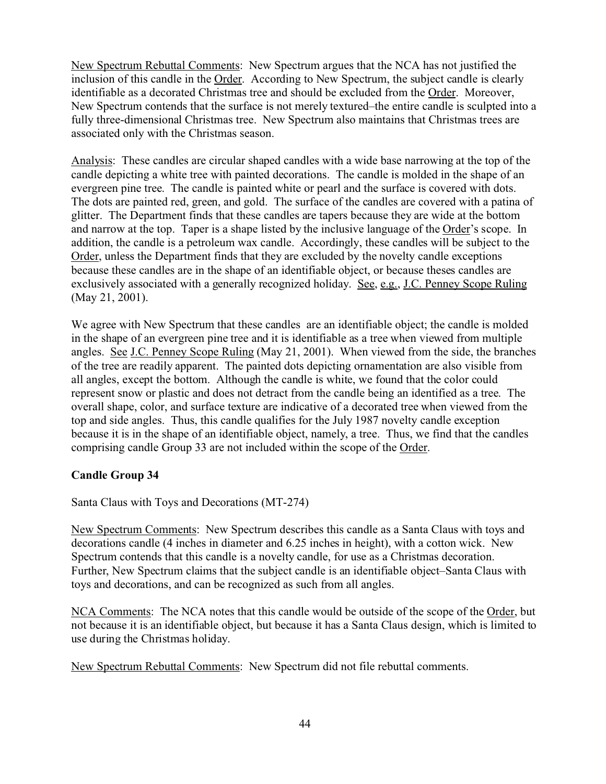New Spectrum Rebuttal Comments: New Spectrum argues that the NCA has not justified the inclusion of this candle in the Order. According to New Spectrum, the subject candle is clearly identifiable as a decorated Christmas tree and should be excluded from the Order. Moreover, New Spectrum contends that the surface is not merely textured–the entire candle is sculpted into a fully three-dimensional Christmas tree. New Spectrum also maintains that Christmas trees are associated only with the Christmas season.

Analysis: These candles are circular shaped candles with a wide base narrowing at the top of the candle depicting a white tree with painted decorations. The candle is molded in the shape of an evergreen pine tree. The candle is painted white or pearl and the surface is covered with dots. The dots are painted red, green, and gold. The surface of the candles are covered with a patina of glitter. The Department finds that these candles are tapers because they are wide at the bottom and narrow at the top. Taper is a shape listed by the inclusive language of the Order's scope. In addition, the candle is a petroleum wax candle. Accordingly, these candles will be subject to the Order, unless the Department finds that they are excluded by the novelty candle exceptions because these candles are in the shape of an identifiable object, or because theses candles are exclusively associated with a generally recognized holiday. See, e.g., J.C. Penney Scope Ruling (May 21, 2001).

We agree with New Spectrum that these candles are an identifiable object; the candle is molded in the shape of an evergreen pine tree and it is identifiable as a tree when viewed from multiple angles. See J.C. Penney Scope Ruling (May 21, 2001). When viewed from the side, the branches of the tree are readily apparent. The painted dots depicting ornamentation are also visible from all angles, except the bottom. Although the candle is white, we found that the color could represent snow or plastic and does not detract from the candle being an identified as a tree. The overall shape, color, and surface texture are indicative of a decorated tree when viewed from the top and side angles. Thus, this candle qualifies for the July 1987 novelty candle exception because it is in the shape of an identifiable object, namely, a tree. Thus, we find that the candles comprising candle Group 33 are not included within the scope of the Order.

## **Candle Group 34**

Santa Claus with Toys and Decorations (MT-274)

New Spectrum Comments: New Spectrum describes this candle as a Santa Claus with toys and decorations candle (4 inches in diameter and 6.25 inches in height), with a cotton wick. New Spectrum contends that this candle is a novelty candle, for use as a Christmas decoration. Further, New Spectrum claims that the subject candle is an identifiable object–Santa Claus with toys and decorations, and can be recognized as such from all angles.

NCA Comments: The NCA notes that this candle would be outside of the scope of the Order, but not because it is an identifiable object, but because it has a Santa Claus design, which is limited to use during the Christmas holiday.

New Spectrum Rebuttal Comments: New Spectrum did not file rebuttal comments.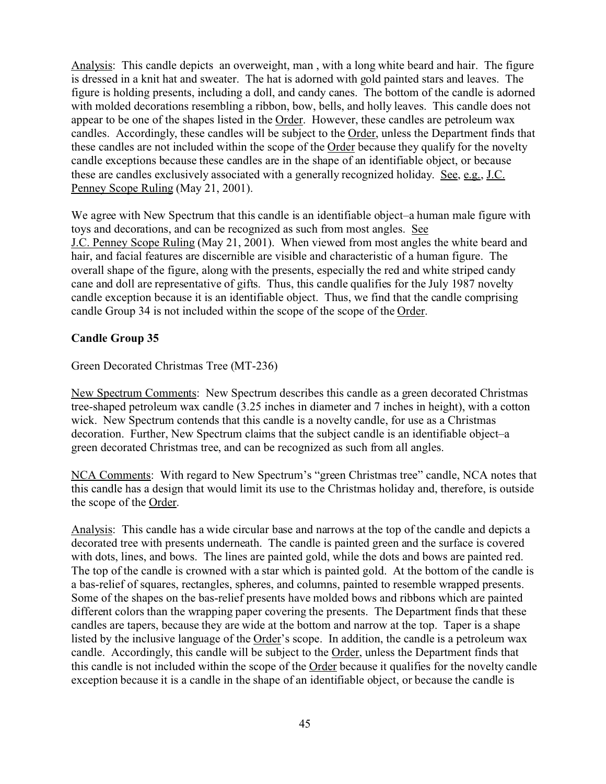Analysis: This candle depicts an overweight, man , with a long white beard and hair. The figure is dressed in a knit hat and sweater. The hat is adorned with gold painted stars and leaves. The figure is holding presents, including a doll, and candy canes. The bottom of the candle is adorned with molded decorations resembling a ribbon, bow, bells, and holly leaves. This candle does not appear to be one of the shapes listed in the Order. However, these candles are petroleum wax candles. Accordingly, these candles will be subject to the Order, unless the Department finds that these candles are not included within the scope of the Order because they qualify for the novelty candle exceptions because these candles are in the shape of an identifiable object, or because these are candles exclusively associated with a generally recognized holiday. See, e.g., J.C. Penney Scope Ruling (May 21, 2001).

We agree with New Spectrum that this candle is an identifiable object–a human male figure with toys and decorations, and can be recognized as such from most angles. See J.C. Penney Scope Ruling (May 21, 2001). When viewed from most angles the white beard and hair, and facial features are discernible are visible and characteristic of a human figure. The overall shape of the figure, along with the presents, especially the red and white striped candy cane and doll are representative of gifts. Thus, this candle qualifies for the July 1987 novelty candle exception because it is an identifiable object. Thus, we find that the candle comprising candle Group 34 is not included within the scope of the scope of the Order.

## **Candle Group 35**

Green Decorated Christmas Tree (MT-236)

New Spectrum Comments: New Spectrum describes this candle as a green decorated Christmas tree-shaped petroleum wax candle (3.25 inches in diameter and 7 inches in height), with a cotton wick. New Spectrum contends that this candle is a novelty candle, for use as a Christmas decoration. Further, New Spectrum claims that the subject candle is an identifiable object–a green decorated Christmas tree, and can be recognized as such from all angles.

NCA Comments: With regard to New Spectrum's "green Christmas tree" candle, NCA notes that this candle has a design that would limit its use to the Christmas holiday and, therefore, is outside the scope of the Order.

Analysis: This candle has a wide circular base and narrows at the top of the candle and depicts a decorated tree with presents underneath. The candle is painted green and the surface is covered with dots, lines, and bows. The lines are painted gold, while the dots and bows are painted red. The top of the candle is crowned with a star which is painted gold. At the bottom of the candle is a bas-relief of squares, rectangles, spheres, and columns, painted to resemble wrapped presents. Some of the shapes on the bas-relief presents have molded bows and ribbons which are painted different colors than the wrapping paper covering the presents. The Department finds that these candles are tapers, because they are wide at the bottom and narrow at the top. Taper is a shape listed by the inclusive language of the Order's scope. In addition, the candle is a petroleum wax candle. Accordingly, this candle will be subject to the Order, unless the Department finds that this candle is not included within the scope of the Order because it qualifies for the novelty candle exception because it is a candle in the shape of an identifiable object, or because the candle is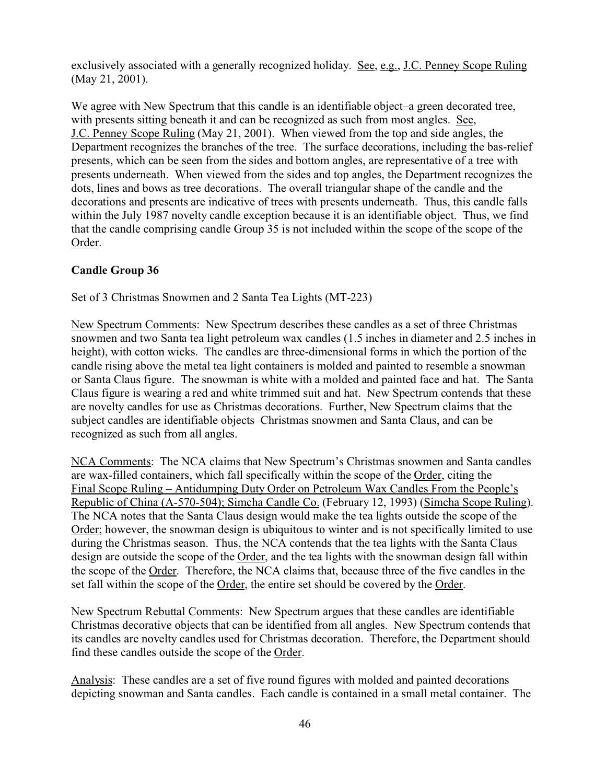exclusively associated with a generally recognized holiday. See, e.g., J.C. Penney Scope Ruling (May 21, 2001).

We agree with New Spectrum that this candle is an identifiable object–a green decorated tree, with presents sitting beneath it and can be recognized as such from most angles. See, J.C. Penney Scope Ruling (May 21, 2001). When viewed from the top and side angles, the Department recognizes the branches of the tree. The surface decorations, including the bas-relief presents, which can be seen from the sides and bottom angles, are representative of a tree with presents underneath. When viewed from the sides and top angles, the Department recognizes the dots, lines and bows as tree decorations. The overall triangular shape of the candle and the decorations and presents are indicative of trees with presents underneath. Thus, this candle falls within the July 1987 novelty candle exception because it is an identifiable object. Thus, we find that the candle comprising candle Group 35 is not included within the scope of the scope of the Order.

## **Candle Group 36**

Set of 3 Christmas Snowmen and 2 Santa Tea Lights (MT-223)

New Spectrum Comments: New Spectrum describes these candles as a set of three Christmas snowmen and two Santa tea light petroleum wax candles (1.5 inches in diameter and 2.5 inches in height), with cotton wicks. The candles are three-dimensional forms in which the portion of the candle rising above the metal tea light containers is molded and painted to resemble a snowman or Santa Claus figure. The snowman is white with a molded and painted face and hat. The Santa Claus figure is wearing a red and white trimmed suit and hat. New Spectrum contends that these are novelty candles for use as Christmas decorations. Further, New Spectrum claims that the subject candles are identifiable objects–Christmas snowmen and Santa Claus, and can be recognized as such from all angles.

NCA Comments: The NCA claims that New Spectrum's Christmas snowmen and Santa candles are wax-filled containers, which fall specifically within the scope of the Order, citing the Final Scope Ruling – Antidumping Duty Order on Petroleum Wax Candles From the People's Republic of China (A-570-504); Simcha Candle Co. (February 12, 1993) (Simcha Scope Ruling). The NCA notes that the Santa Claus design would make the tea lights outside the scope of the Order; however, the snowman design is ubiquitous to winter and is not specifically limited to use during the Christmas season. Thus, the NCA contends that the tea lights with the Santa Claus design are outside the scope of the Order, and the tea lights with the snowman design fall within the scope of the Order. Therefore, the NCA claims that, because three of the five candles in the set fall within the scope of the Order, the entire set should be covered by the Order.

New Spectrum Rebuttal Comments: New Spectrum argues that these candles are identifiable Christmas decorative objects that can be identified from all angles. New Spectrum contends that its candles are novelty candles used for Christmas decoration. Therefore, the Department should find these candles outside the scope of the Order.

Analysis: These candles are a set of five round figures with molded and painted decorations depicting snowman and Santa candles. Each candle is contained in a small metal container. The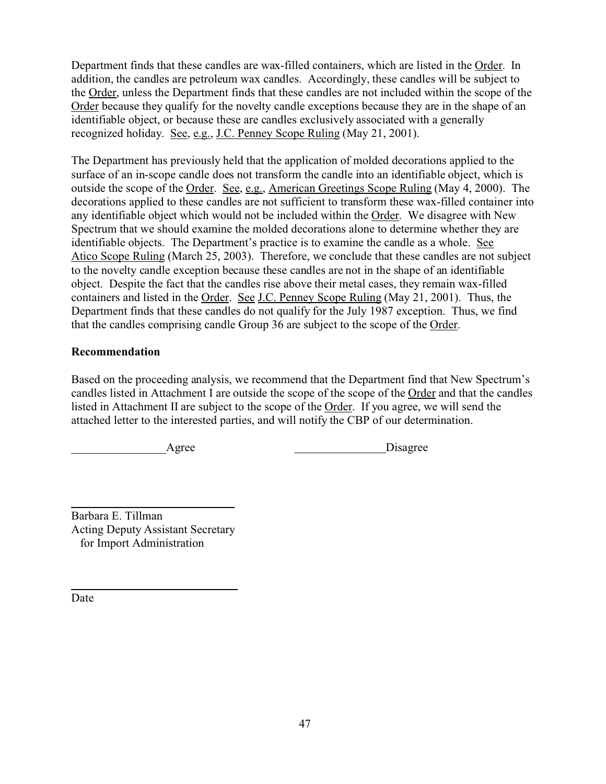Department finds that these candles are wax-filled containers, which are listed in the Order. In addition, the candles are petroleum wax candles. Accordingly, these candles will be subject to the Order, unless the Department finds that these candles are not included within the scope of the Order because they qualify for the novelty candle exceptions because they are in the shape of an identifiable object, or because these are candles exclusively associated with a generally recognized holiday. See, e.g., J.C. Penney Scope Ruling (May 21, 2001).

The Department has previously held that the application of molded decorations applied to the surface of an in-scope candle does not transform the candle into an identifiable object, which is outside the scope of the Order. See, e.g., American Greetings Scope Ruling (May 4, 2000). The decorations applied to these candles are not sufficient to transform these wax-filled container into any identifiable object which would not be included within the Order. We disagree with New Spectrum that we should examine the molded decorations alone to determine whether they are identifiable objects. The Department's practice is to examine the candle as a whole. See Atico Scope Ruling (March 25, 2003). Therefore, we conclude that these candles are not subject to the novelty candle exception because these candles are not in the shape of an identifiable object. Despite the fact that the candles rise above their metal cases, they remain wax-filled containers and listed in the Order. See J.C. Penney Scope Ruling (May 21, 2001). Thus, the Department finds that these candles do not qualify for the July 1987 exception. Thus, we find that the candles comprising candle Group 36 are subject to the scope of the Order.

## **Recommendation**

Based on the proceeding analysis, we recommend that the Department find that New Spectrum's candles listed in Attachment I are outside the scope of the scope of the Order and that the candles listed in Attachment II are subject to the scope of the Order. If you agree, we will send the attached letter to the interested parties, and will notify the CBP of our determination.

Agree Disagree

l Barbara E. Tillman Acting Deputy Assistant Secretary for Import Administration

Date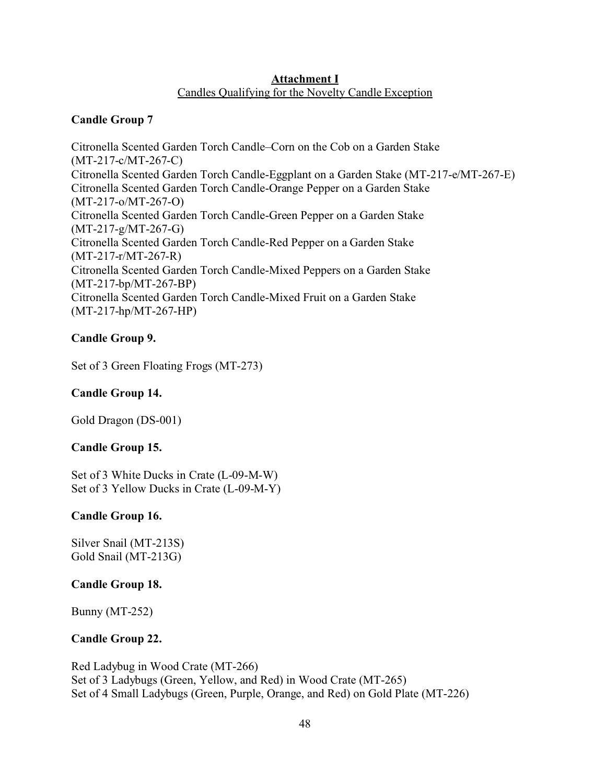#### **Attachment I** Candles Qualifying for the Novelty Candle Exception

## **Candle Group 7**

Citronella Scented Garden Torch Candle–Corn on the Cob on a Garden Stake (MT-217-c/MT-267-C) Citronella Scented Garden Torch Candle-Eggplant on a Garden Stake (MT-217-e/MT-267-E) Citronella Scented Garden Torch Candle-Orange Pepper on a Garden Stake (MT-217-o/MT-267-O) Citronella Scented Garden Torch Candle-Green Pepper on a Garden Stake (MT-217-g/MT-267-G) Citronella Scented Garden Torch Candle-Red Pepper on a Garden Stake (MT-217-r/MT-267-R) Citronella Scented Garden Torch Candle-Mixed Peppers on a Garden Stake (MT-217-bp/MT-267-BP) Citronella Scented Garden Torch Candle-Mixed Fruit on a Garden Stake (MT-217-hp/MT-267-HP)

## **Candle Group 9.**

Set of 3 Green Floating Frogs (MT-273)

## **Candle Group 14.**

Gold Dragon (DS-001)

## **Candle Group 15.**

Set of 3 White Ducks in Crate (L-09-M-W) Set of 3 Yellow Ducks in Crate (L-09-M-Y)

## **Candle Group 16.**

Silver Snail (MT-213S) Gold Snail (MT-213G)

## **Candle Group 18.**

Bunny (MT-252)

## **Candle Group 22.**

Red Ladybug in Wood Crate (MT-266) Set of 3 Ladybugs (Green, Yellow, and Red) in Wood Crate (MT-265) Set of 4 Small Ladybugs (Green, Purple, Orange, and Red) on Gold Plate (MT-226)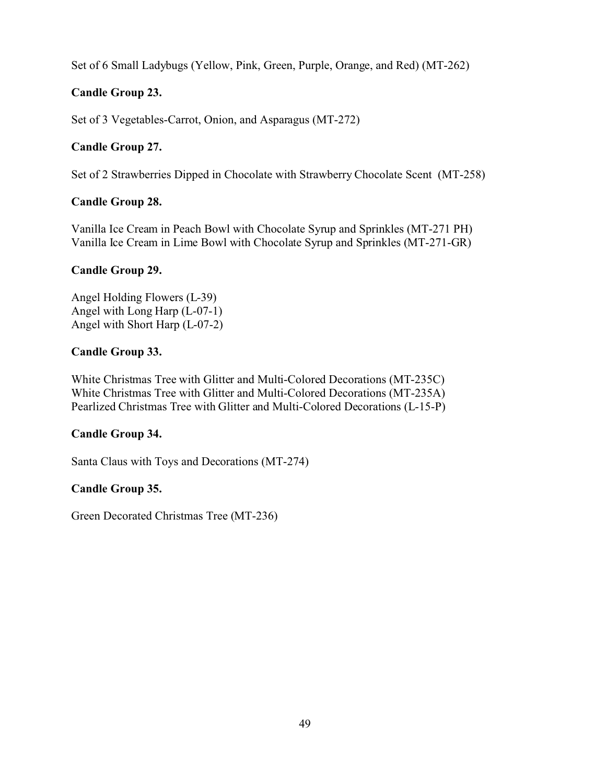Set of 6 Small Ladybugs (Yellow, Pink, Green, Purple, Orange, and Red) (MT-262)

## **Candle Group 23.**

Set of 3 Vegetables-Carrot, Onion, and Asparagus (MT-272)

## **Candle Group 27.**

Set of 2 Strawberries Dipped in Chocolate with Strawberry Chocolate Scent (MT-258)

## **Candle Group 28.**

Vanilla Ice Cream in Peach Bowl with Chocolate Syrup and Sprinkles (MT-271 PH) Vanilla Ice Cream in Lime Bowl with Chocolate Syrup and Sprinkles (MT-271-GR)

## **Candle Group 29.**

Angel Holding Flowers (L-39) Angel with Long Harp (L-07-1) Angel with Short Harp (L-07-2)

## **Candle Group 33.**

White Christmas Tree with Glitter and Multi-Colored Decorations (MT-235C) White Christmas Tree with Glitter and Multi-Colored Decorations (MT-235A) Pearlized Christmas Tree with Glitter and Multi-Colored Decorations (L-15-P)

## **Candle Group 34.**

Santa Claus with Toys and Decorations (MT-274)

## **Candle Group 35.**

Green Decorated Christmas Tree (MT-236)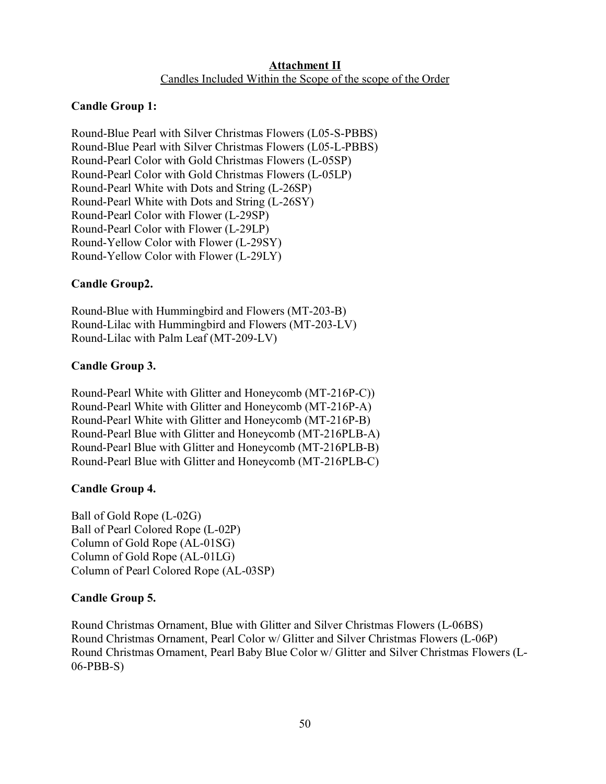## **Attachment II** Candles Included Within the Scope of the scope of the Order

## **Candle Group 1:**

Round-Blue Pearl with Silver Christmas Flowers (L05-S-PBBS) Round-Blue Pearl with Silver Christmas Flowers (L05-L-PBBS) Round-Pearl Color with Gold Christmas Flowers (L-05SP) Round-Pearl Color with Gold Christmas Flowers (L-05LP) Round-Pearl White with Dots and String (L-26SP) Round-Pearl White with Dots and String (L-26SY) Round-Pearl Color with Flower (L-29SP) Round-Pearl Color with Flower (L-29LP) Round-Yellow Color with Flower (L-29SY) Round-Yellow Color with Flower (L-29LY)

## **Candle Group2.**

Round-Blue with Hummingbird and Flowers (MT-203-B) Round-Lilac with Hummingbird and Flowers (MT-203-LV) Round-Lilac with Palm Leaf (MT-209-LV)

## **Candle Group 3.**

Round-Pearl White with Glitter and Honeycomb (MT-216P-C)) Round-Pearl White with Glitter and Honeycomb (MT-216P-A) Round-Pearl White with Glitter and Honeycomb (MT-216P-B) Round-Pearl Blue with Glitter and Honeycomb (MT-216PLB-A) Round-Pearl Blue with Glitter and Honeycomb (MT-216PLB-B) Round-Pearl Blue with Glitter and Honeycomb (MT-216PLB-C)

#### **Candle Group 4.**

Ball of Gold Rope (L-02G) Ball of Pearl Colored Rope (L-02P) Column of Gold Rope (AL-01SG) Column of Gold Rope (AL-01LG) Column of Pearl Colored Rope (AL-03SP)

#### **Candle Group 5.**

Round Christmas Ornament, Blue with Glitter and Silver Christmas Flowers (L-06BS) Round Christmas Ornament, Pearl Color w/ Glitter and Silver Christmas Flowers (L-06P) Round Christmas Ornament, Pearl Baby Blue Color w/ Glitter and Silver Christmas Flowers (L-06-PBB-S)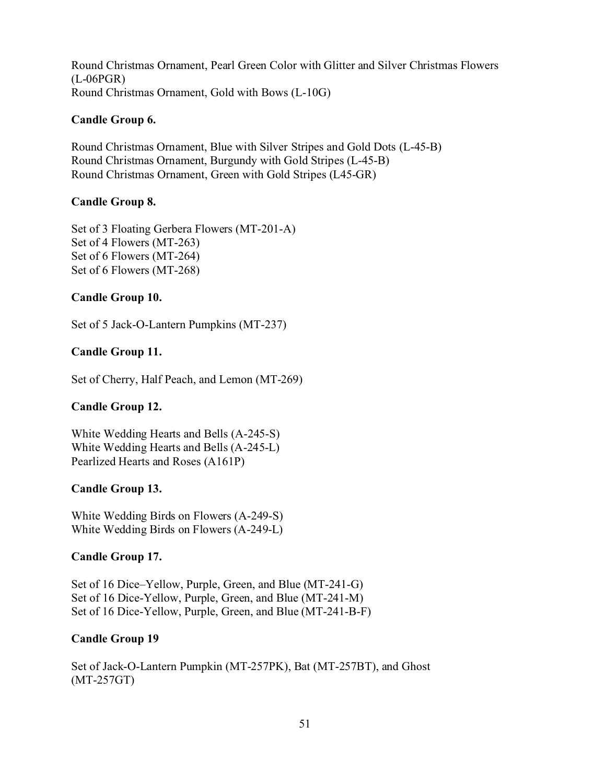Round Christmas Ornament, Pearl Green Color with Glitter and Silver Christmas Flowers (L-06PGR) Round Christmas Ornament, Gold with Bows (L-10G)

## **Candle Group 6.**

Round Christmas Ornament, Blue with Silver Stripes and Gold Dots (L-45-B) Round Christmas Ornament, Burgundy with Gold Stripes (L-45-B) Round Christmas Ornament, Green with Gold Stripes (L45-GR)

## **Candle Group 8.**

Set of 3 Floating Gerbera Flowers (MT-201-A) Set of 4 Flowers (MT-263) Set of 6 Flowers (MT-264) Set of 6 Flowers (MT-268)

## **Candle Group 10.**

Set of 5 Jack-O-Lantern Pumpkins (MT-237)

## **Candle Group 11.**

Set of Cherry, Half Peach, and Lemon (MT-269)

## **Candle Group 12.**

White Wedding Hearts and Bells (A-245-S) White Wedding Hearts and Bells (A-245-L) Pearlized Hearts and Roses (A161P)

## **Candle Group 13.**

White Wedding Birds on Flowers (A-249-S) White Wedding Birds on Flowers (A-249-L)

## **Candle Group 17.**

Set of 16 Dice–Yellow, Purple, Green, and Blue (MT-241-G) Set of 16 Dice-Yellow, Purple, Green, and Blue (MT-241-M) Set of 16 Dice-Yellow, Purple, Green, and Blue (MT-241-B-F)

#### **Candle Group 19**

Set of Jack-O-Lantern Pumpkin (MT-257PK), Bat (MT-257BT), and Ghost (MT-257GT)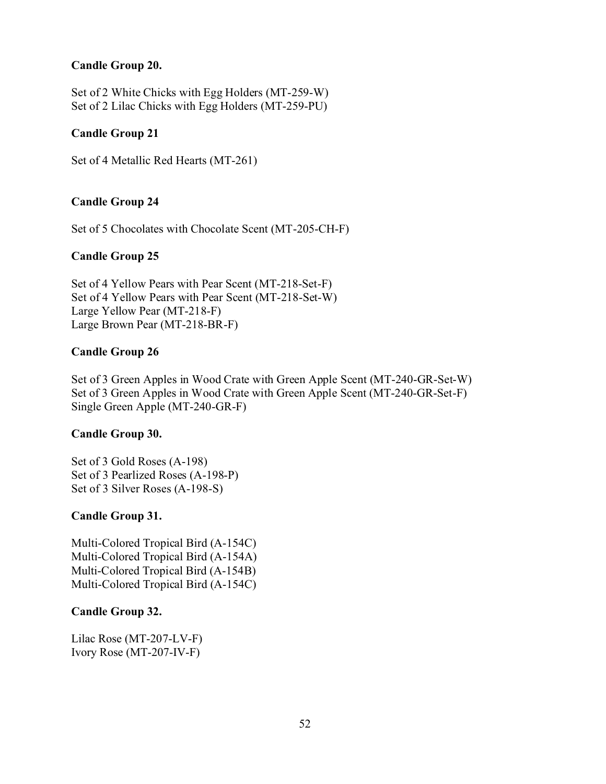## **Candle Group 20.**

Set of 2 White Chicks with Egg Holders (MT-259-W) Set of 2 Lilac Chicks with Egg Holders (MT-259-PU)

### **Candle Group 21**

Set of 4 Metallic Red Hearts (MT-261)

## **Candle Group 24**

Set of 5 Chocolates with Chocolate Scent (MT-205-CH-F)

## **Candle Group 25**

Set of 4 Yellow Pears with Pear Scent (MT-218-Set-F) Set of 4 Yellow Pears with Pear Scent (MT-218-Set-W) Large Yellow Pear (MT-218-F) Large Brown Pear (MT-218-BR-F)

#### **Candle Group 26**

Set of 3 Green Apples in Wood Crate with Green Apple Scent (MT-240-GR-Set-W) Set of 3 Green Apples in Wood Crate with Green Apple Scent (MT-240-GR-Set-F) Single Green Apple (MT-240-GR-F)

#### **Candle Group 30.**

Set of 3 Gold Roses (A-198) Set of 3 Pearlized Roses (A-198-P) Set of 3 Silver Roses (A-198-S)

#### **Candle Group 31.**

Multi-Colored Tropical Bird (A-154C) Multi-Colored Tropical Bird (A-154A) Multi-Colored Tropical Bird (A-154B) Multi-Colored Tropical Bird (A-154C)

#### **Candle Group 32.**

Lilac Rose (MT-207-LV-F) Ivory Rose (MT-207-IV-F)